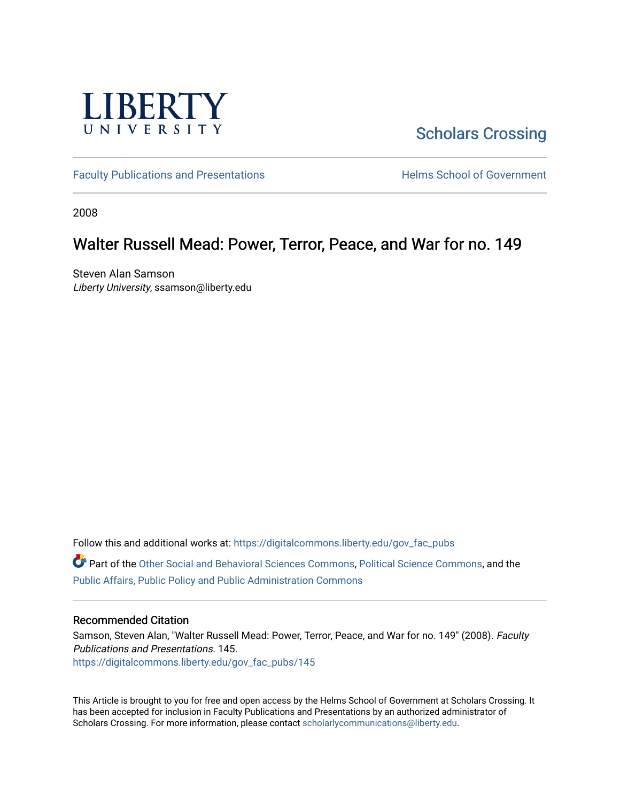

[Scholars Crossing](https://digitalcommons.liberty.edu/) 

[Faculty Publications and Presentations](https://digitalcommons.liberty.edu/gov_fac_pubs) **Exercise School of Government** 

2008

# Walter Russell Mead: Power, Terror, Peace, and War for no. 149

Steven Alan Samson Liberty University, ssamson@liberty.edu

Follow this and additional works at: [https://digitalcommons.liberty.edu/gov\\_fac\\_pubs](https://digitalcommons.liberty.edu/gov_fac_pubs?utm_source=digitalcommons.liberty.edu%2Fgov_fac_pubs%2F145&utm_medium=PDF&utm_campaign=PDFCoverPages)

Part of the [Other Social and Behavioral Sciences Commons](http://network.bepress.com/hgg/discipline/437?utm_source=digitalcommons.liberty.edu%2Fgov_fac_pubs%2F145&utm_medium=PDF&utm_campaign=PDFCoverPages), [Political Science Commons](http://network.bepress.com/hgg/discipline/386?utm_source=digitalcommons.liberty.edu%2Fgov_fac_pubs%2F145&utm_medium=PDF&utm_campaign=PDFCoverPages), and the [Public Affairs, Public Policy and Public Administration Commons](http://network.bepress.com/hgg/discipline/393?utm_source=digitalcommons.liberty.edu%2Fgov_fac_pubs%2F145&utm_medium=PDF&utm_campaign=PDFCoverPages)

## Recommended Citation

Samson, Steven Alan, "Walter Russell Mead: Power, Terror, Peace, and War for no. 149" (2008). Faculty Publications and Presentations. 145. [https://digitalcommons.liberty.edu/gov\\_fac\\_pubs/145](https://digitalcommons.liberty.edu/gov_fac_pubs/145?utm_source=digitalcommons.liberty.edu%2Fgov_fac_pubs%2F145&utm_medium=PDF&utm_campaign=PDFCoverPages)

This Article is brought to you for free and open access by the Helms School of Government at Scholars Crossing. It has been accepted for inclusion in Faculty Publications and Presentations by an authorized administrator of Scholars Crossing. For more information, please contact [scholarlycommunications@liberty.edu.](mailto:scholarlycommunications@liberty.edu)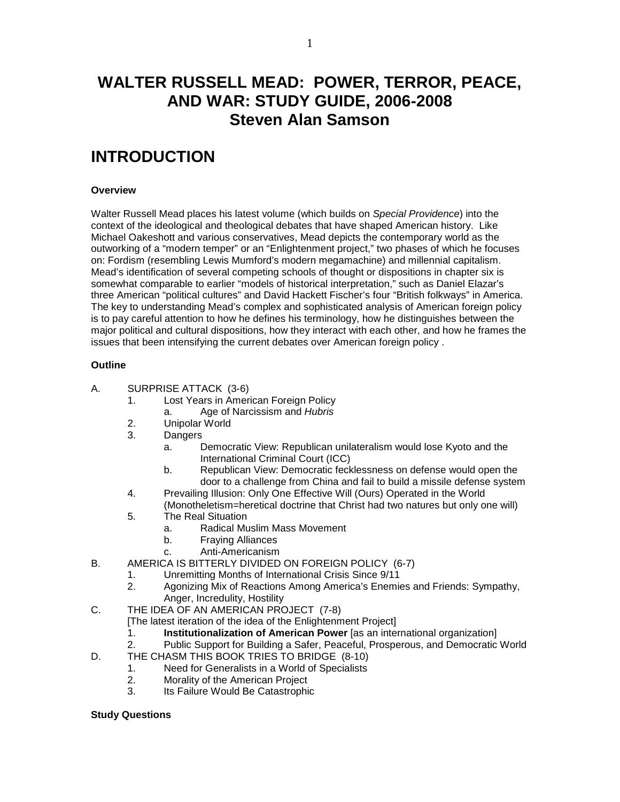# **WALTER RUSSELL MEAD: POWER, TERROR, PEACE, AND WAR: STUDY GUIDE, 2006-2008 Steven Alan Samson**

# **INTRODUCTION**

### **Overview**

Walter Russell Mead places his latest volume (which builds on *Special Providence*) into the context of the ideological and theological debates that have shaped American history. Like Michael Oakeshott and various conservatives, Mead depicts the contemporary world as the outworking of a "modern temper" or an "Enlightenment project," two phases of which he focuses on: Fordism (resembling Lewis Mumford's modern megamachine) and millennial capitalism. Mead's identification of several competing schools of thought or dispositions in chapter six is somewhat comparable to earlier "models of historical interpretation," such as Daniel Elazar's three American "political cultures" and David Hackett Fischer's four "British folkways" in America. The key to understanding Mead's complex and sophisticated analysis of American foreign policy is to pay careful attention to how he defines his terminology, how he distinguishes between the major political and cultural dispositions, how they interact with each other, and how he frames the issues that been intensifying the current debates over American foreign policy .

### **Outline**

- A. SURPRISE ATTACK (3-6)
	- 1. Lost Years in American Foreign Policy
		- a. Age of Narcissism and *Hubris*
	- 2. Unipolar World
	- 3. Dangers
		- a. Democratic View: Republican unilateralism would lose Kyoto and the International Criminal Court (ICC)
		- b. Republican View: Democratic fecklessness on defense would open the door to a challenge from China and fail to build a missile defense system
	- 4. Prevailing Illusion: Only One Effective Will (Ours) Operated in the World (Monotheletism=heretical doctrine that Christ had two natures but only one will)
	- 5. The Real Situation
		- a. Radical Muslim Mass Movement
		- b. Fraying Alliances
		- c. Anti-Americanism
- B. AMERICA IS BITTERLY DIVIDED ON FOREIGN POLICY (6-7)
	- 1. Unremitting Months of International Crisis Since 9/11
	- 2. Agonizing Mix of Reactions Among America's Enemies and Friends: Sympathy, Anger, Incredulity, Hostility
- C. THE IDEA OF AN AMERICAN PROJECT (7-8)

[The latest iteration of the idea of the Enlightenment Project]

- 1. **Institutionalization of American Power** [as an international organization]
- 2. Public Support for Building a Safer, Peaceful, Prosperous, and Democratic World
- D. THE CHASM THIS BOOK TRIES TO BRIDGE (8-10)
	- 1. Need for Generalists in a World of Specialists
	- 2. Morality of the American Project
	- 3. Its Failure Would Be Catastrophic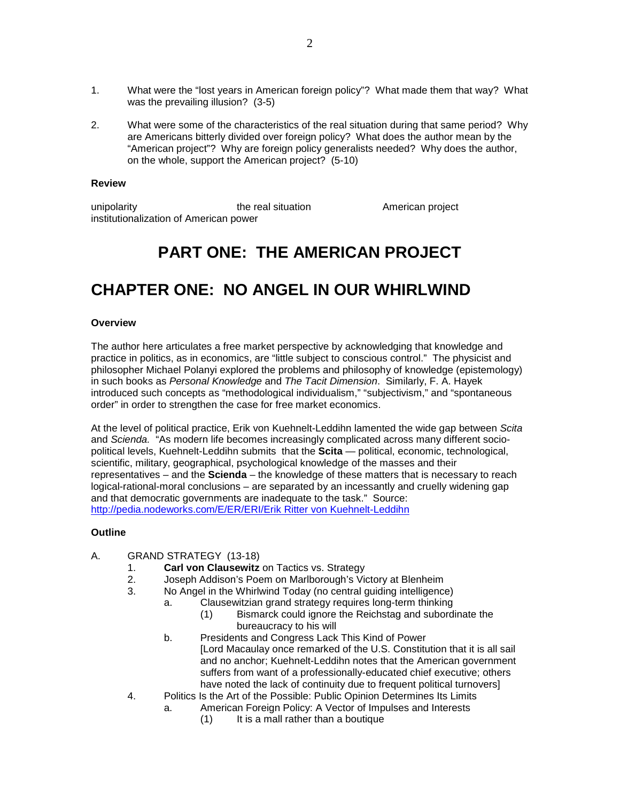- 1. What were the "lost years in American foreign policy"? What made them that way? What was the prevailing illusion? (3-5)
- 2. What were some of the characteristics of the real situation during that same period? Why are Americans bitterly divided over foreign policy? What does the author mean by the "American project"? Why are foreign policy generalists needed? Why does the author, on the whole, support the American project? (5-10)

#### **Review**

unipolarity **the real situation** American project institutionalization of American power

# **PART ONE: THE AMERICAN PROJECT**

# **CHAPTER ONE: NO ANGEL IN OUR WHIRLWIND**

### **Overview**

The author here articulates a free market perspective by acknowledging that knowledge and practice in politics, as in economics, are "little subject to conscious control." The physicist and philosopher Michael Polanyi explored the problems and philosophy of knowledge (epistemology) in such books as *Personal Knowledge* and *The Tacit Dimension*. Similarly, F. A. Hayek introduced such concepts as "methodological individualism," "subjectivism," and "spontaneous order" in order to strengthen the case for free market economics.

At the level of political practice, Erik von Kuehnelt-Leddihn lamented the wide gap between *Scita*  and *Scienda.* "As modern life becomes increasingly complicated across many different sociopolitical levels, Kuehnelt-Leddihn submits that the **Scita** — political, economic, technological, scientific, military, geographical, psychological knowledge of the masses and their representatives – and the **Scienda** – the knowledge of these matters that is necessary to reach logical-rational-moral conclusions – are separated by an incessantly and cruelly widening gap and that democratic governments are inadequate to the task." Source: [http://pedia.nodeworks.com/E/ER/ERI/Erik Ritter von Kuehnelt-Leddihn](http://pedia.nodeworks.com/E/ER/ERI/Erik%20Ritter%20von%20Kuehnelt-Leddihn)

### **Outline**

- A. GRAND STRATEGY (13-18)
	- 1. **Carl von Clausewitz** on Tactics vs. Strategy
	- 2. Joseph Addison's Poem on Marlborough's Victory at Blenheim
	- 3. No Angel in the Whirlwind Today (no central guiding intelligence)
		- a. Clausewitzian grand strategy requires long-term thinking
			- (1) Bismarck could ignore the Reichstag and subordinate the bureaucracy to his will
		- b. Presidents and Congress Lack This Kind of Power [Lord Macaulay once remarked of the U.S. Constitution that it is all sail and no anchor; Kuehnelt-Leddihn notes that the American government suffers from want of a professionally-educated chief executive; others have noted the lack of continuity due to frequent political turnovers]
	- 4. Politics Is the Art of the Possible: Public Opinion Determines Its Limits
		- a. American Foreign Policy: A Vector of Impulses and Interests
			- (1) It is a mall rather than a boutique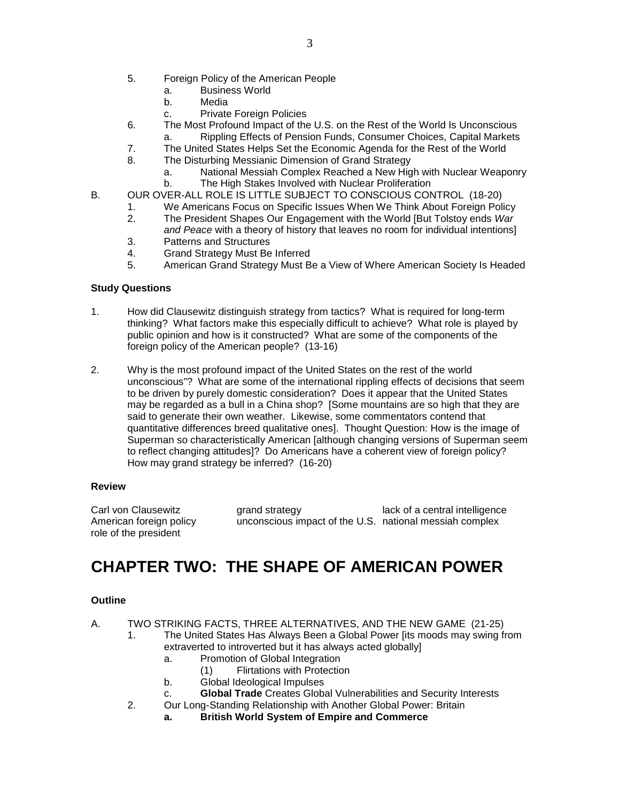- 5. Foreign Policy of the American People
	- a. Business World
	- b. Media
	- c. Private Foreign Policies
- 6. The Most Profound Impact of the U.S. on the Rest of the World Is Unconscious
	- Rippling Effects of Pension Funds, Consumer Choices, Capital Markets
- 7. The United States Helps Set the Economic Agenda for the Rest of the World
- 8. The Disturbing Messianic Dimension of Grand Strategy
	- a. National Messiah Complex Reached a New High with Nuclear Weaponry b. The High Stakes Involved with Nuclear Proliferation
- B. OUR OVER-ALL ROLE IS LITTLE SUBJECT TO CONSCIOUS CONTROL (18-20)
	- 1. We Americans Focus on Specific Issues When We Think About Foreign Policy<br>2. The President Shapes Our Engagement with the World IBut Tolstov ends War 2. The President Shapes Our Engagement with the World [But Tolstoy ends *War*
		- *and Peace* with a theory of history that leaves no room for individual intentions]
	- 3. Patterns and Structures
	- 4. Grand Strategy Must Be Inferred
	- 5. American Grand Strategy Must Be a View of Where American Society Is Headed

- 1. How did Clausewitz distinguish strategy from tactics? What is required for long-term thinking? What factors make this especially difficult to achieve? What role is played by public opinion and how is it constructed? What are some of the components of the foreign policy of the American people? (13-16)
- 2. Why is the most profound impact of the United States on the rest of the world unconscious"? What are some of the international rippling effects of decisions that seem to be driven by purely domestic consideration? Does it appear that the United States may be regarded as a bull in a China shop? [Some mountains are so high that they are said to generate their own weather. Likewise, some commentators contend that quantitative differences breed qualitative ones]. Thought Question: How is the image of Superman so characteristically American [although changing versions of Superman seem to reflect changing attitudes]? Do Americans have a coherent view of foreign policy? How may grand strategy be inferred? (16-20)

### **Review**

Carl von Clausewitz **grand strategy** lack of a central intelligence American foreign policy unconscious impact of the U.S. national messiah complex role of the president

# **CHAPTER TWO: THE SHAPE OF AMERICAN POWER**

## **Outline**

A. TWO STRIKING FACTS, THREE ALTERNATIVES, AND THE NEW GAME (21-25)

- 1. The United States Has Always Been a Global Power [its moods may swing from extraverted to introverted but it has always acted globally]
	- a. Promotion of Global Integration
		- (1) Flirtations with Protection
	- b. Global Ideological Impulses
	- c. **Global Trade** Creates Global Vulnerabilities and Security Interests
- 2. Our Long-Standing Relationship with Another Global Power: Britain
	- **a. British World System of Empire and Commerce**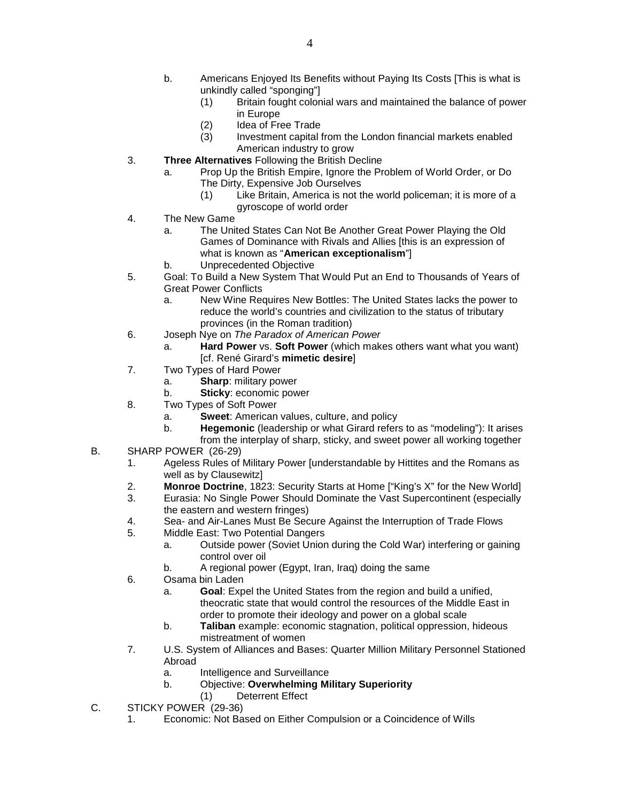- b. Americans Enjoyed Its Benefits without Paying Its Costs [This is what is unkindly called "sponging"]
	- (1) Britain fought colonial wars and maintained the balance of power in Europe
	-
	- (2) Idea of Free Trade<br>(3) Investment capital t Investment capital from the London financial markets enabled American industry to grow
- 3. **Three Alternatives** Following the British Decline
	- a. Prop Up the British Empire, Ignore the Problem of World Order, or Do The Dirty, Expensive Job Ourselves
		- (1) Like Britain, America is not the world policeman; it is more of a gyroscope of world order
- 4. The New Game
	- a. The United States Can Not Be Another Great Power Playing the Old Games of Dominance with Rivals and Allies [this is an expression of what is known as "**American exceptionalism**"]
	- b. Unprecedented Objective
- 5. Goal: To Build a New System That Would Put an End to Thousands of Years of Great Power Conflicts
	- a. New Wine Requires New Bottles: The United States lacks the power to reduce the world's countries and civilization to the status of tributary provinces (in the Roman tradition)
- 6. Joseph Nye on *The Paradox of American Power*
	- a. **Hard Power** vs. **Soft Power** (which makes others want what you want) [cf. René Girard's **mimetic desire**]
- 7. Two Types of Hard Power
	- a. **Sharp**: military power
	- b. **Sticky**: economic power
- 8. Two Types of Soft Power
	- a. **Sweet**: American values, culture, and policy
	- b. **Hegemonic** (leadership or what Girard refers to as "modeling"): It arises
- from the interplay of sharp, sticky, and sweet power all working together B. SHARP POWER (26-29)
	- 1. Ageless Rules of Military Power [understandable by Hittites and the Romans as well as by Clausewitz]
	- 2. **Monroe Doctrine**, 1823: Security Starts at Home ["King's X" for the New World]
	- 3. Eurasia: No Single Power Should Dominate the Vast Supercontinent (especially the eastern and western fringes)
	- 4. Sea- and Air-Lanes Must Be Secure Against the Interruption of Trade Flows
	- 5. Middle East: Two Potential Dangers
		- a. Outside power (Soviet Union during the Cold War) interfering or gaining control over oil
		- b. A regional power (Egypt, Iran, Iraq) doing the same
	- 6. Osama bin Laden
		- a. **Goal**: Expel the United States from the region and build a unified, theocratic state that would control the resources of the Middle East in order to promote their ideology and power on a global scale
		- b. **Taliban** example: economic stagnation, political oppression, hideous mistreatment of women
	- 7. U.S. System of Alliances and Bases: Quarter Million Military Personnel Stationed Abroad
		- a. Intelligence and Surveillance
		- b. Objective: **Overwhelming Military Superiority**
			- (1) Deterrent Effect
- C. STICKY POWER (29-36)
	- 1. Economic: Not Based on Either Compulsion or a Coincidence of Wills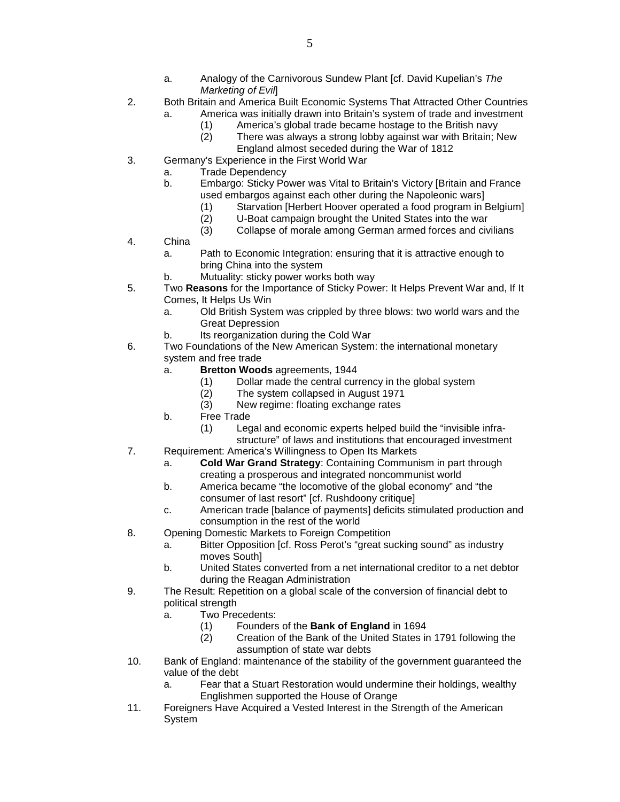- a. Analogy of the Carnivorous Sundew Plant [cf. David Kupelian's *The Marketing of Evil*]
- 2. Both Britain and America Built Economic Systems That Attracted Other Countries
	- a. America was initially drawn into Britain's system of trade and investment
		- (1) America's global trade became hostage to the British navy
		- (2) There was always a strong lobby against war with Britain; New England almost seceded during the War of 1812
- 3. Germany's Experience in the First World War
	- a. Trade Dependency<br>b. Embargo: Sticky Po
	- Embargo: Sticky Power was Vital to Britain's Victory [Britain and France used embargos against each other during the Napoleonic wars]
		- (1) Starvation [Herbert Hoover operated a food program in Belgium]<br>(2) U-Boat campaign brought the United States into the war
		- U-Boat campaign brought the United States into the war
		- (3) Collapse of morale among German armed forces and civilians
- 4. China
	- a. Path to Economic Integration: ensuring that it is attractive enough to bring China into the system
	- b. Mutuality: sticky power works both way
- 5. Two **Reasons** for the Importance of Sticky Power: It Helps Prevent War and, If It Comes, It Helps Us Win
	- a. Old British System was crippled by three blows: two world wars and the Great Depression
	- b. Its reorganization during the Cold War
- 6. Two Foundations of the New American System: the international monetary system and free trade
	- a. **Bretton Woods** agreements, 1944
		- (1) Dollar made the central currency in the global system
		- (2) The system collapsed in August 1971
		- (3) New regime: floating exchange rates
	- b. Free Trade
		- (1) Legal and economic experts helped build the "invisible infrastructure" of laws and institutions that encouraged investment
- 7. Requirement: America's Willingness to Open Its Markets
	- a. **Cold War Grand Strategy**: Containing Communism in part through creating a prosperous and integrated noncommunist world
	- b. America became "the locomotive of the global economy" and "the consumer of last resort" [cf. Rushdoony critique]
	- c. American trade [balance of payments] deficits stimulated production and consumption in the rest of the world
- 8. Opening Domestic Markets to Foreign Competition
	- a. Bitter Opposition [cf. Ross Perot's "great sucking sound" as industry moves South]
	- b. United States converted from a net international creditor to a net debtor during the Reagan Administration
- 9. The Result: Repetition on a global scale of the conversion of financial debt to political strength
	- a. Two Precedents:
		- (1) Founders of the **Bank of England** in 1694
		- (2) Creation of the Bank of the United States in 1791 following the assumption of state war debts
- 10. Bank of England: maintenance of the stability of the government guaranteed the value of the debt
	- a. Fear that a Stuart Restoration would undermine their holdings, wealthy Englishmen supported the House of Orange
- 11. Foreigners Have Acquired a Vested Interest in the Strength of the American System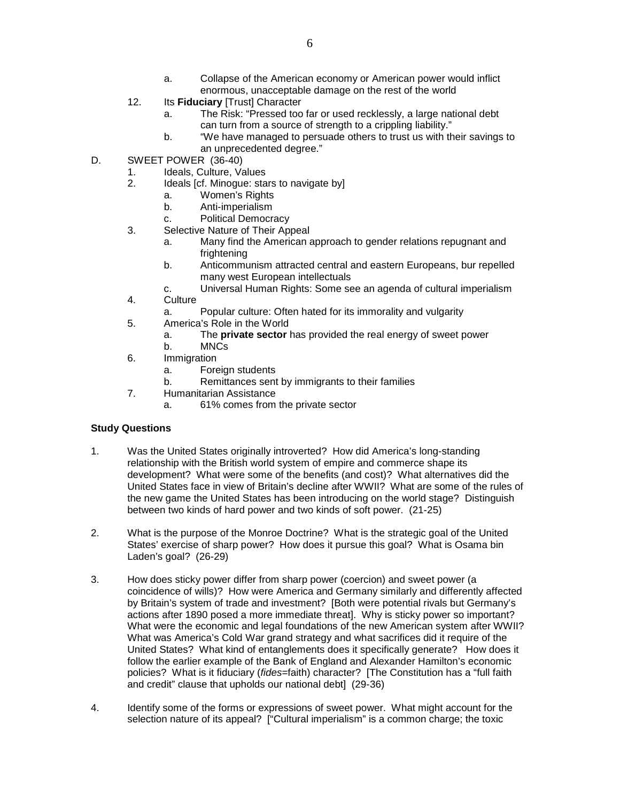- a. Collapse of the American economy or American power would inflict enormous, unacceptable damage on the rest of the world
- 12. Its **Fiduciary** [Trust] Character
	- a. The Risk: "Pressed too far or used recklessly, a large national debt can turn from a source of strength to a crippling liability."
	- b. "We have managed to persuade others to trust us with their savings to an unprecedented degree."
- D. SWEET POWER (36-40)
	- 1. Ideals, Culture, Values<br>2. Ideals [cf. Minoque: sta
		- Ideals [cf. Minogue: stars to navigate by]
			- a. Women's Rights
			- b. Anti-imperialism
		- c. Political Democracy
	- 3. Selective Nature of Their Appeal
		- a. Many find the American approach to gender relations repugnant and frightening
		- b. Anticommunism attracted central and eastern Europeans, bur repelled many west European intellectuals
		- c. Universal Human Rights: Some see an agenda of cultural imperialism
	- 4. Culture
		- a. Popular culture: Often hated for its immorality and vulgarity
	- 5. America's Role in the World
		- a. The **private sector** has provided the real energy of sweet power
		- b. MNCs
	- 6. Immigration
		- a. Foreign students
		- b. Remittances sent by immigrants to their families
	- 7. Humanitarian Assistance
		- a. 61% comes from the private sector

- 1. Was the United States originally introverted? How did America's long-standing relationship with the British world system of empire and commerce shape its development? What were some of the benefits (and cost)? What alternatives did the United States face in view of Britain's decline after WWII? What are some of the rules of the new game the United States has been introducing on the world stage? Distinguish between two kinds of hard power and two kinds of soft power. (21-25)
- 2. What is the purpose of the Monroe Doctrine? What is the strategic goal of the United States' exercise of sharp power? How does it pursue this goal? What is Osama bin Laden's goal? (26-29)
- 3. How does sticky power differ from sharp power (coercion) and sweet power (a coincidence of wills)? How were America and Germany similarly and differently affected by Britain's system of trade and investment? [Both were potential rivals but Germany's actions after 1890 posed a more immediate threat]. Why is sticky power so important? What were the economic and legal foundations of the new American system after WWII? What was America's Cold War grand strategy and what sacrifices did it require of the United States? What kind of entanglements does it specifically generate? How does it follow the earlier example of the Bank of England and Alexander Hamilton's economic policies? What is it fiduciary (*fides*=faith) character? [The Constitution has a "full faith and credit" clause that upholds our national debt] (29-36)
- 4. Identify some of the forms or expressions of sweet power. What might account for the selection nature of its appeal? ["Cultural imperialism" is a common charge; the toxic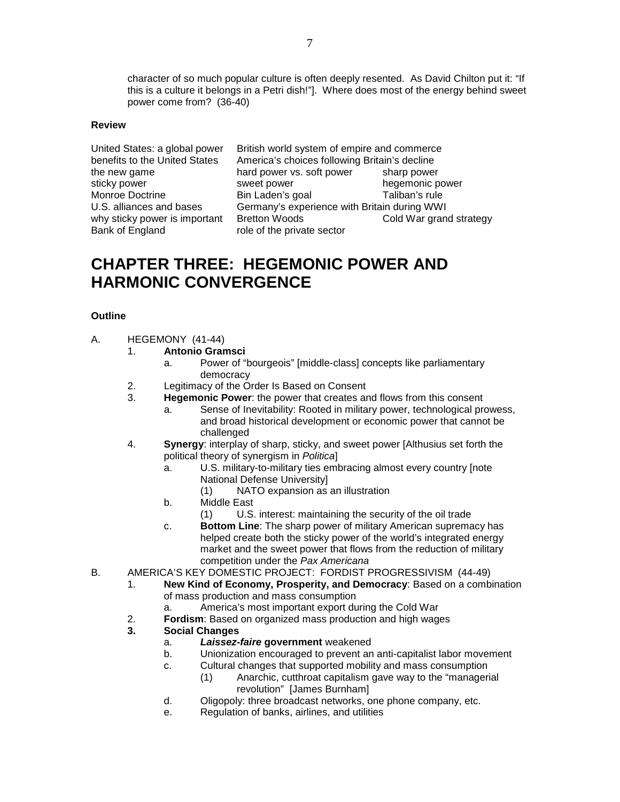character of so much popular culture is often deeply resented. As David Chilton put it: "If this is a culture it belongs in a Petri dish!"]. Where does most of the energy behind sweet power come from? (36-40)

### **Review**

why sticky power is important Bank of England role of the private sector

United States: a global power British world system of empire and commerce benefits to the United States America's choices following Britain's decline the new game hard power vs. soft power sharp power<br>sticky power sticky power sticky power sticky power sticky power hegemonic power Monroe Doctrine Bin Laden's goal Taliban's rule U.S. alliances and bases Germany's experience with Britain during WWI<br>why sticky power is important Bretton Woods Cold War grand strategy

# **CHAPTER THREE: HEGEMONIC POWER AND HARMONIC CONVERGENCE**

## **Outline**

- A. HEGEMONY (41-44)
	- 1. **Antonio Gramsci**
		- a. Power of "bourgeois" [middle-class] concepts like parliamentary democracy
	- 2. Legitimacy of the Order Is Based on Consent
	- 3. **Hegemonic Power**: the power that creates and flows from this consent
		- a. Sense of Inevitability: Rooted in military power, technological prowess, and broad historical development or economic power that cannot be challenged
	- 4. **Synergy**: interplay of sharp, sticky, and sweet power [Althusius set forth the political theory of synergism in *Politica*]
		- a. U.S. military-to-military ties embracing almost every country [note National Defense University]
			- (1) NATO expansion as an illustration
		- b. Middle East
			- (1) U.S. interest: maintaining the security of the oil trade
		- c. **Bottom Line**: The sharp power of military American supremacy has helped create both the sticky power of the world's integrated energy market and the sweet power that flows from the reduction of military competition under the *Pax Americana*
- B. AMERICA'S KEY DOMESTIC PROJECT: FORDIST PROGRESSIVISM (44-49)
	- 1. **New Kind of Economy, Prosperity, and Democracy**: Based on a combination of mass production and mass consumption
		- a. America's most important export during the Cold War
	- 2. **Fordism**: Based on organized mass production and high wages

## **3. Social Changes**

- a. *Laissez-faire* **government** weakened
- b. Unionization encouraged to prevent an anti-capitalist labor movement
- c. Cultural changes that supported mobility and mass consumption (1) Anarchic, cutthroat capitalism gave way to the "managerial
	- revolution" [James Burnham]
- d. Oligopoly: three broadcast networks, one phone company, etc.
- e. Regulation of banks, airlines, and utilities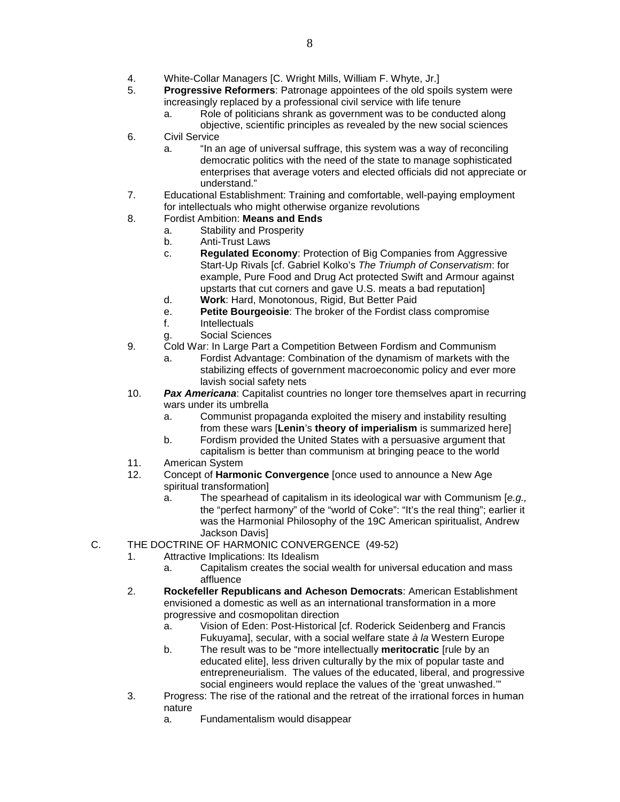- 4. White-Collar Managers [C. Wright Mills, William F. Whyte, Jr.]
- 5. **Progressive Reformers**: Patronage appointees of the old spoils system were increasingly replaced by a professional civil service with life tenure
	- a. Role of politicians shrank as government was to be conducted along objective, scientific principles as revealed by the new social sciences
- 6. Civil Service
	- a. "In an age of universal suffrage, this system was a way of reconciling democratic politics with the need of the state to manage sophisticated enterprises that average voters and elected officials did not appreciate or understand."
- 7. Educational Establishment: Training and comfortable, well-paying employment for intellectuals who might otherwise organize revolutions
- 8. Fordist Ambition: **Means and Ends**
	- a. Stability and Prosperity
	- b. Anti-Trust Laws
	- c. **Regulated Economy**: Protection of Big Companies from Aggressive Start-Up Rivals [cf. Gabriel Kolko's *The Triumph of Conservatism*: for example, Pure Food and Drug Act protected Swift and Armour against upstarts that cut corners and gave U.S. meats a bad reputation]
	- d. **Work**: Hard, Monotonous, Rigid, But Better Paid
	- e. **Petite Bourgeoisie**: The broker of the Fordist class compromise
	- f. Intellectuals
	- g. Social Sciences
- 9. Cold War: In Large Part a Competition Between Fordism and Communism
	- a. Fordist Advantage: Combination of the dynamism of markets with the stabilizing effects of government macroeconomic policy and ever more lavish social safety nets
- 10. *Pax Americana*: Capitalist countries no longer tore themselves apart in recurring wars under its umbrella
	- a. Communist propaganda exploited the misery and instability resulting from these wars [**Lenin**'s **theory of imperialism** is summarized here]
	- b. Fordism provided the United States with a persuasive argument that capitalism is better than communism at bringing peace to the world
- 11. American System
- 12. Concept of **Harmonic Convergence** [once used to announce a New Age spiritual transformation]
	- a. The spearhead of capitalism in its ideological war with Communism [*e.g.,*  the "perfect harmony" of the "world of Coke": "It's the real thing"; earlier it was the Harmonial Philosophy of the 19C American spiritualist, Andrew Jackson Davis]
- C. THE DOCTRINE OF HARMONIC CONVERGENCE (49-52)
	- 1. Attractive Implications: Its Idealism
		- a. Capitalism creates the social wealth for universal education and mass affluence
	- 2. **Rockefeller Republicans and Acheson Democrats**: American Establishment envisioned a domestic as well as an international transformation in a more progressive and cosmopolitan direction
		- a. Vision of Eden: Post-Historical [cf. Roderick Seidenberg and Francis Fukuyama], secular, with a social welfare state *à la* Western Europe
		- b. The result was to be "more intellectually **meritocratic** [rule by an educated elite], less driven culturally by the mix of popular taste and entrepreneurialism. The values of the educated, liberal, and progressive social engineers would replace the values of the 'great unwashed.'"
	- 3. Progress: The rise of the rational and the retreat of the irrational forces in human nature
		- a. Fundamentalism would disappear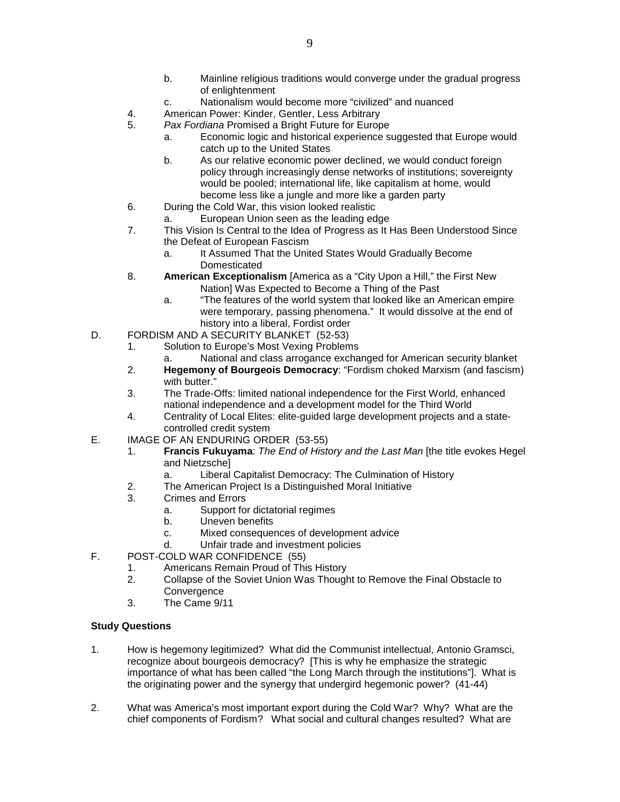- b. Mainline religious traditions would converge under the gradual progress of enlightenment
- c. Nationalism would become more "civilized" and nuanced
- 4. American Power: Kinder, Gentler, Less Arbitrary
- 5. *Pax Fordiana* Promised a Bright Future for Europe
	- a. Economic logic and historical experience suggested that Europe would catch up to the United States
	- b. As our relative economic power declined, we would conduct foreign policy through increasingly dense networks of institutions; sovereignty would be pooled; international life, like capitalism at home, would become less like a jungle and more like a garden party
- 6. During the Cold War, this vision looked realistic
	- a. European Union seen as the leading edge
- 7. This Vision Is Central to the Idea of Progress as It Has Been Understood Since the Defeat of European Fascism
	- a. It Assumed That the United States Would Gradually Become Domesticated
- 8. **American Exceptionalism** [America as a "City Upon a Hill," the First New Nation] Was Expected to Become a Thing of the Past
	- a. "The features of the world system that looked like an American empire were temporary, passing phenomena." It would dissolve at the end of history into a liberal, Fordist order
- D. FORDISM AND A SECURITY BLANKET (52-53)
	- 1. Solution to Europe's Most Vexing Problems
		- a. National and class arrogance exchanged for American security blanket
	- 2. **Hegemony of Bourgeois Democracy**: "Fordism choked Marxism (and fascism) with butter."
	- 3. The Trade-Offs: limited national independence for the First World, enhanced national independence and a development model for the Third World
	- 4. Centrality of Local Elites: elite-guided large development projects and a statecontrolled credit system
- E. IMAGE OF AN ENDURING ORDER (53-55)
	- 1. **Francis Fukuyama**: *The End of History and the Last Man* [the title evokes Hegel and Nietzsche]
		- a. Liberal Capitalist Democracy: The Culmination of History
	- 2. The American Project Is a Distinguished Moral Initiative
	- 3. Crimes and Errors
		- a. Support for dictatorial regimes
		- b. Uneven benefits
		- c. Mixed consequences of development advice
		- d. Unfair trade and investment policies
- F. POST-COLD WAR CONFIDENCE (55)
	- 1. Americans Remain Proud of This History
	- 2. Collapse of the Soviet Union Was Thought to Remove the Final Obstacle to **Convergence**
	- 3. The Came 9/11

- 1. How is hegemony legitimized? What did the Communist intellectual, Antonio Gramsci, recognize about bourgeois democracy? [This is why he emphasize the strategic importance of what has been called "the Long March through the institutions"]. What is the originating power and the synergy that undergird hegemonic power? (41-44)
- 2. What was America's most important export during the Cold War? Why? What are the chief components of Fordism? What social and cultural changes resulted? What are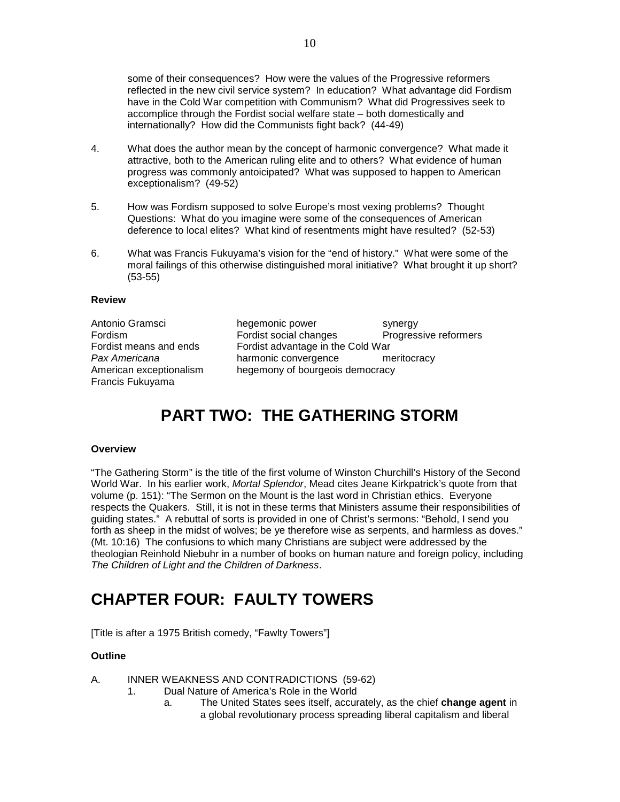some of their consequences? How were the values of the Progressive reformers reflected in the new civil service system? In education? What advantage did Fordism have in the Cold War competition with Communism? What did Progressives seek to accomplice through the Fordist social welfare state – both domestically and internationally? How did the Communists fight back? (44-49)

- 4. What does the author mean by the concept of harmonic convergence? What made it attractive, both to the American ruling elite and to others? What evidence of human progress was commonly antoicipated? What was supposed to happen to American exceptionalism? (49-52)
- 5. How was Fordism supposed to solve Europe's most vexing problems? Thought Questions: What do you imagine were some of the consequences of American deference to local elites? What kind of resentments might have resulted? (52-53)
- 6. What was Francis Fukuyama's vision for the "end of history." What were some of the moral failings of this otherwise distinguished moral initiative? What brought it up short? (53-55)

### **Review**

Francis Fukuyama

Antonio Gramsci hegemonic power synergy Fordism Fordist social changes Progressive reformers<br>
Fordist means and ends Fordist advantage in the Cold War Fordist advantage in the Cold War *Pax Americana* harmonic convergence meritocracy American exceptionalism hegemony of bourgeois democracy

# **PART TWO: THE GATHERING STORM**

### **Overview**

"The Gathering Storm" is the title of the first volume of Winston Churchill's History of the Second World War. In his earlier work, *Mortal Splendor*, Mead cites Jeane Kirkpatrick's quote from that volume (p. 151): "The Sermon on the Mount is the last word in Christian ethics. Everyone respects the Quakers. Still, it is not in these terms that Ministers assume their responsibilities of guiding states." A rebuttal of sorts is provided in one of Christ's sermons: "Behold, I send you forth as sheep in the midst of wolves; be ye therefore wise as serpents, and harmless as doves." (Mt. 10:16) The confusions to which many Christians are subject were addressed by the theologian Reinhold Niebuhr in a number of books on human nature and foreign policy, including *The Children of Light and the Children of Darkness*.

# **CHAPTER FOUR: FAULTY TOWERS**

[Title is after a 1975 British comedy, "Fawlty Towers"]

### **Outline**

- A. INNER WEAKNESS AND CONTRADICTIONS (59-62)
	- 1. Dual Nature of America's Role in the World
		- a. The United States sees itself, accurately, as the chief **change agent** in a global revolutionary process spreading liberal capitalism and liberal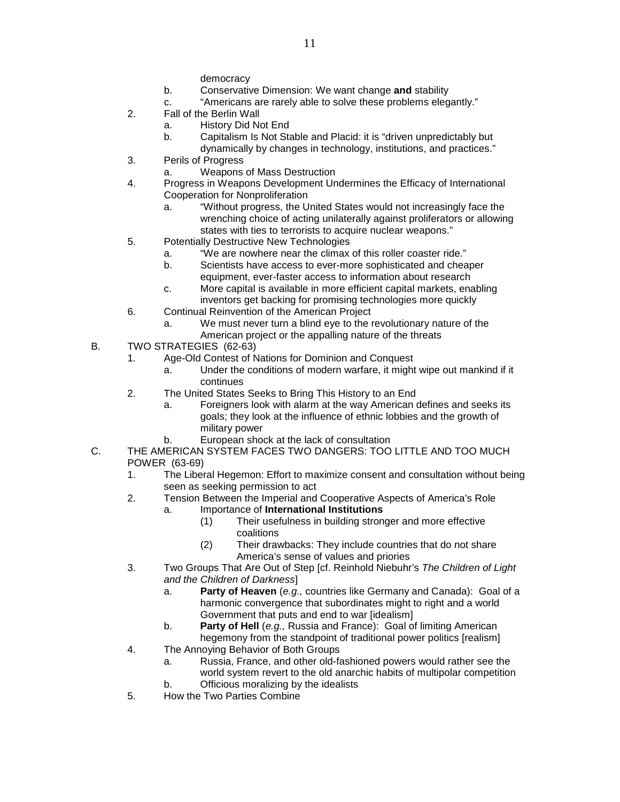democracy

- b. Conservative Dimension: We want change **and** stability
- c. "Americans are rarely able to solve these problems elegantly."
- 2. Fall of the Berlin Wall
	- a. History Did Not End
	- b. Capitalism Is Not Stable and Placid: it is "driven unpredictably but
	- dynamically by changes in technology, institutions, and practices."
- 3. Perils of Progress
	- a. Weapons of Mass Destruction
- 4. Progress in Weapons Development Undermines the Efficacy of International Cooperation for Nonproliferation
	- a. "Without progress, the United States would not increasingly face the wrenching choice of acting unilaterally against proliferators or allowing states with ties to terrorists to acquire nuclear weapons."
- 5. Potentially Destructive New Technologies
	- a. "We are nowhere near the climax of this roller coaster ride."
	- b. Scientists have access to ever-more sophisticated and cheaper equipment, ever-faster access to information about research
	- c. More capital is available in more efficient capital markets, enabling inventors get backing for promising technologies more quickly
- 6. Continual Reinvention of the American Project
	- a. We must never turn a blind eye to the revolutionary nature of the American project or the appalling nature of the threats
- B. TWO STRATEGIES (62-63)
	- 1. Age-Old Contest of Nations for Dominion and Conquest
		- a. Under the conditions of modern warfare, it might wipe out mankind if it continues
	- 2. The United States Seeks to Bring This History to an End
		- a. Foreigners look with alarm at the way American defines and seeks its goals; they look at the influence of ethnic lobbies and the growth of military power
		- b. European shock at the lack of consultation
- C. THE AMERICAN SYSTEM FACES TWO DANGERS: TOO LITTLE AND TOO MUCH POWER (63-69)
	- 1. The Liberal Hegemon: Effort to maximize consent and consultation without being seen as seeking permission to act
	- 2. Tension Between the Imperial and Cooperative Aspects of America's Role

## a. Importance of **International Institutions**

- (1) Their usefulness in building stronger and more effective coalitions
- (2) Their drawbacks: They include countries that do not share America's sense of values and priories
- 3. Two Groups That Are Out of Step [cf. Reinhold Niebuhr's *The Children of Light and the Children of Darkness*]
	- a. **Party of Heaven** (*e.g.,* countries like Germany and Canada): Goal of a harmonic convergence that subordinates might to right and a world Government that puts and end to war [idealism]
	- b. **Party of Hell** (*e.g.,* Russia and France): Goal of limiting American hegemony from the standpoint of traditional power politics [realism]
- 4. The Annoying Behavior of Both Groups
	- a. Russia, France, and other old-fashioned powers would rather see the world system revert to the old anarchic habits of multipolar competition
	- b. Officious moralizing by the idealists
- 5. How the Two Parties Combine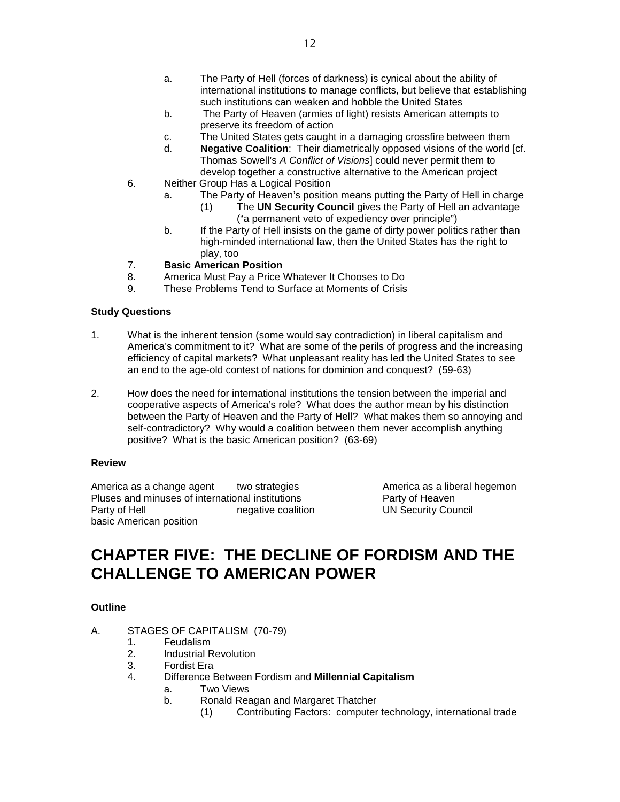- a. The Party of Hell (forces of darkness) is cynical about the ability of international institutions to manage conflicts, but believe that establishing such institutions can weaken and hobble the United States
- b. The Party of Heaven (armies of light) resists American attempts to preserve its freedom of action
- c. The United States gets caught in a damaging crossfire between them
- d. **Negative Coalition**: Their diametrically opposed visions of the world [cf. Thomas Sowell's *A Conflict of Visions*] could never permit them to develop together a constructive alternative to the American project
- 6. Neither Group Has a Logical Position
	- a. The Party of Heaven's position means putting the Party of Hell in charge
		- (1) The **UN Security Council** gives the Party of Hell an advantage ("a permanent veto of expediency over principle")
	- b. If the Party of Hell insists on the game of dirty power politics rather than high-minded international law, then the United States has the right to play, too

### 7. **Basic American Position**

- 8. America Must Pay a Price Whatever It Chooses to Do<br>9. These Problems Tend to Surface at Moments of Crisis
- These Problems Tend to Surface at Moments of Crisis

### **Study Questions**

- 1. What is the inherent tension (some would say contradiction) in liberal capitalism and America's commitment to it? What are some of the perils of progress and the increasing efficiency of capital markets? What unpleasant reality has led the United States to see an end to the age-old contest of nations for dominion and conquest? (59-63)
- 2. How does the need for international institutions the tension between the imperial and cooperative aspects of America's role? What does the author mean by his distinction between the Party of Heaven and the Party of Hell? What makes them so annoying and self-contradictory? Why would a coalition between them never accomplish anything positive? What is the basic American position? (63-69)

### **Review**

America as a change agent two strategies **America as a liberal hegemon** Pluses and minuses of international institutions Party of Heaven<br>Party of Hell engative coalition UN Security Cou basic American position

negative coalition UN Security Council

# **CHAPTER FIVE: THE DECLINE OF FORDISM AND THE CHALLENGE TO AMERICAN POWER**

### **Outline**

- A. STAGES OF CAPITALISM (70-79)
	- 1. Feudalism
	- 2. Industrial Revolution
	- 3. Fordist Era
	- 4. Difference Between Fordism and **Millennial Capitalism**
		- a. Two Views
		- b. Ronald Reagan and Margaret Thatcher
			- (1) Contributing Factors: computer technology, international trade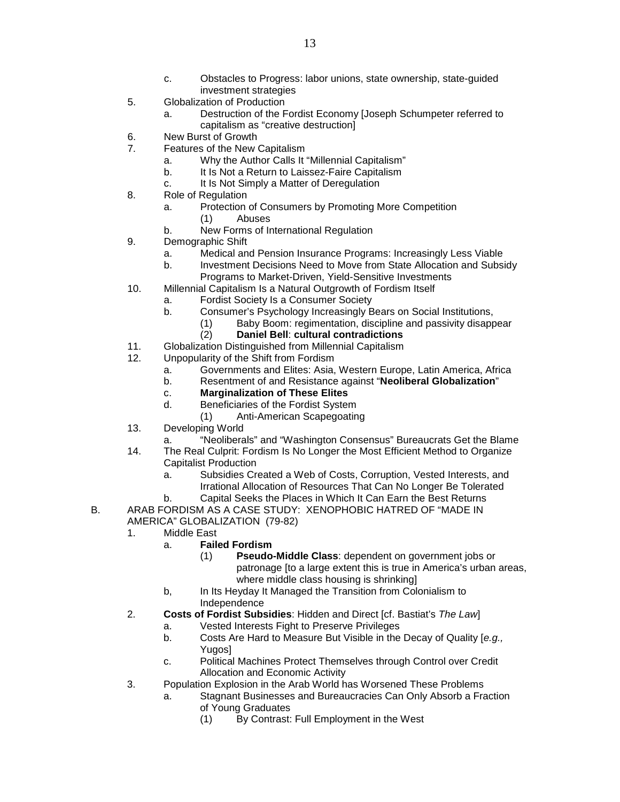- c. Obstacles to Progress: labor unions, state ownership, state-guided investment strategies
- 5. Globalization of Production
	- a. Destruction of the Fordist Economy [Joseph Schumpeter referred to capitalism as "creative destruction]
- 6. New Burst of Growth<br>7 Features of the New (
- Features of the New Capitalism
	- a. Why the Author Calls It "Millennial Capitalism"
	- b. It Is Not a Return to Laissez-Faire Capitalism
	- c. It Is Not Simply a Matter of Deregulation
- 8. Role of Regulation
	- a. Protection of Consumers by Promoting More Competition
		- (1) Abuses
	- b. New Forms of International Regulation
- 9. Demographic Shift
	- a. Medical and Pension Insurance Programs: Increasingly Less Viable
	- b. Investment Decisions Need to Move from State Allocation and Subsidy Programs to Market-Driven, Yield-Sensitive Investments
- 10. Millennial Capitalism Is a Natural Outgrowth of Fordism Itself
	- a. Fordist Society Is a Consumer Society
	- b. Consumer's Psychology Increasingly Bears on Social Institutions,
		- (1) Baby Boom: regimentation, discipline and passivity disappear
			- (2) **Daniel Bell**: **cultural contradictions**
- 11. Globalization Distinguished from Millennial Capitalism
- 12. Unpopularity of the Shift from Fordism
	- a. Governments and Elites: Asia, Western Europe, Latin America, Africa
	- b. Resentment of and Resistance against "**Neoliberal Globalization**"
	- c. **Marginalization of These Elites**
	- d. Beneficiaries of the Fordist System
	- (1) Anti-American Scapegoating
- 13. Developing World
	- "Neoliberals" and "Washington Consensus" Bureaucrats Get the Blame
- 14. The Real Culprit: Fordism Is No Longer the Most Efficient Method to Organize Capitalist Production
	- a. Subsidies Created a Web of Costs, Corruption, Vested Interests, and Irrational Allocation of Resources That Can No Longer Be Tolerated
- b. Capital Seeks the Places in Which It Can Earn the Best Returns B. ARAB FORDISM AS A CASE STUDY: XENOPHOBIC HATRED OF "MADE IN
	- AMERICA" GLOBALIZATION (79-82)
	- 1. Middle East
		- a. **Failed Fordism**
			- (1) **Pseudo-Middle Class**: dependent on government jobs or patronage [to a large extent this is true in America's urban areas, where middle class housing is shrinking]
		- b, In Its Heyday It Managed the Transition from Colonialism to Independence
	- 2. **Costs of Fordist Subsidies**: Hidden and Direct [cf. Bastiat's *The Law*]
		- a. Vested Interests Fight to Preserve Privileges
		- b. Costs Are Hard to Measure But Visible in the Decay of Quality [*e.g.,* Yugos]
		- c. Political Machines Protect Themselves through Control over Credit Allocation and Economic Activity
	- 3. Population Explosion in the Arab World has Worsened These Problems
		- a. Stagnant Businesses and Bureaucracies Can Only Absorb a Fraction of Young Graduates
			- (1) By Contrast: Full Employment in the West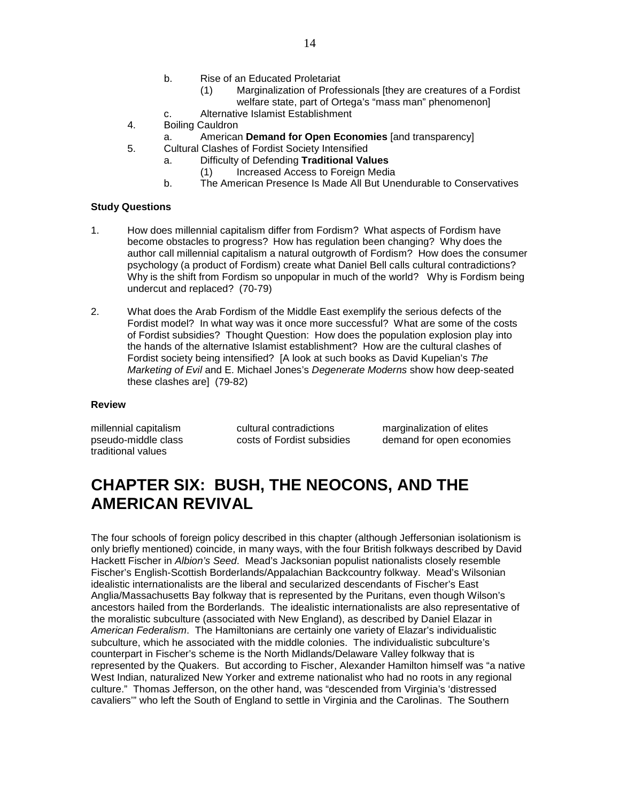- b. Rise of an Educated Proletariat
	- (1) Marginalization of Professionals [they are creatures of a Fordist welfare state, part of Ortega's "mass man" phenomenonl
- c. Alternative Islamist Establishment
- 4. Boiling Cauldron
	- a. American **Demand for Open Economies** [and transparency]
- 5. Cultural Clashes of Fordist Society Intensified
	- a. Difficulty of Defending **Traditional Values**
		- (1) Increased Access to Foreign Media
	- b. The American Presence Is Made All But Unendurable to Conservatives

- 1. How does millennial capitalism differ from Fordism? What aspects of Fordism have become obstacles to progress? How has regulation been changing? Why does the author call millennial capitalism a natural outgrowth of Fordism? How does the consumer psychology (a product of Fordism) create what Daniel Bell calls cultural contradictions? Why is the shift from Fordism so unpopular in much of the world? Why is Fordism being undercut and replaced? (70-79)
- 2. What does the Arab Fordism of the Middle East exemplify the serious defects of the Fordist model? In what way was it once more successful? What are some of the costs of Fordist subsidies? Thought Question: How does the population explosion play into the hands of the alternative Islamist establishment? How are the cultural clashes of Fordist society being intensified? [A look at such books as David Kupelian's *The Marketing of Evil* and E. Michael Jones's *Degenerate Moderns* show how deep-seated these clashes are] (79-82)

#### **Review**

| millennial capitalism | cultural contradictions    | marginalization of elites |
|-----------------------|----------------------------|---------------------------|
| pseudo-middle class   | costs of Fordist subsidies | demand for open economies |
| traditional values    |                            |                           |

# **CHAPTER SIX: BUSH, THE NEOCONS, AND THE AMERICAN REVIVAL**

The four schools of foreign policy described in this chapter (although Jeffersonian isolationism is only briefly mentioned) coincide, in many ways, with the four British folkways described by David Hackett Fischer in *Albion's Seed*. Mead's Jacksonian populist nationalists closely resemble Fischer's English-Scottish Borderlands/Appalachian Backcountry folkway. Mead's Wilsonian idealistic internationalists are the liberal and secularized descendants of Fischer's East Anglia/Massachusetts Bay folkway that is represented by the Puritans, even though Wilson's ancestors hailed from the Borderlands. The idealistic internationalists are also representative of the moralistic subculture (associated with New England), as described by Daniel Elazar in *American Federalism*. The Hamiltonians are certainly one variety of Elazar's individualistic subculture, which he associated with the middle colonies. The individualistic subculture's counterpart in Fischer's scheme is the North Midlands/Delaware Valley folkway that is represented by the Quakers. But according to Fischer, Alexander Hamilton himself was "a native West Indian, naturalized New Yorker and extreme nationalist who had no roots in any regional culture." Thomas Jefferson, on the other hand, was "descended from Virginia's 'distressed cavaliers'" who left the South of England to settle in Virginia and the Carolinas. The Southern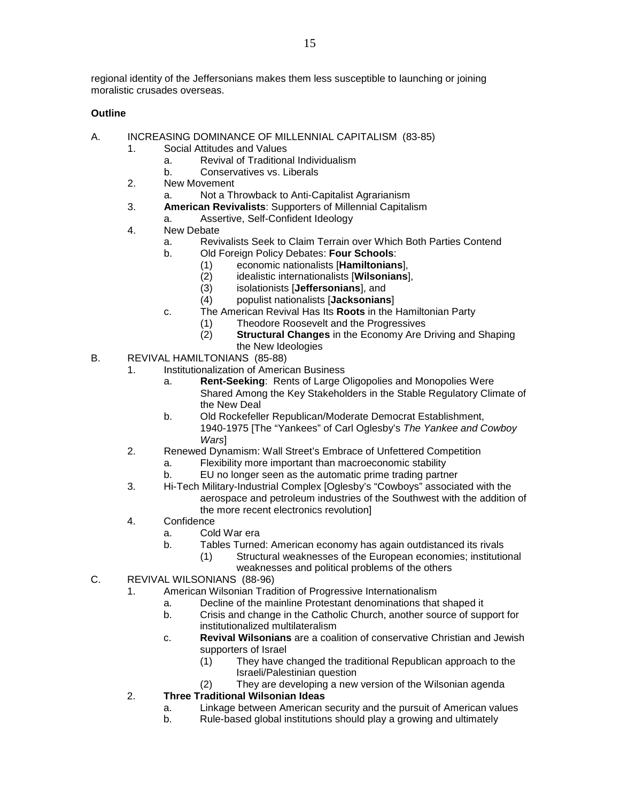regional identity of the Jeffersonians makes them less susceptible to launching or joining moralistic crusades overseas.

# **Outline**

- A. INCREASING DOMINANCE OF MILLENNIAL CAPITALISM (83-85)
	- 1. Social Attitudes and Values
		- a. Revival of Traditional Individualism
		- b. Conservatives vs. Liberals
	- 2. New Movement
		- a. Not a Throwback to Anti-Capitalist Agrarianism
	- 3. **American Revivalists**: Supporters of Millennial Capitalism
		- a. Assertive, Self-Confident Ideology
	- 4. New Debate
		- a. Revivalists Seek to Claim Terrain over Which Both Parties Contend
		- b. Old Foreign Policy Debates: **Four Schools**:
			- (1) economic nationalists [**Hamiltonians**],
				- (2) idealistic internationalists [**Wilsonians**],
				- (3) isolationists [**Jeffersonians**], and
				- (4) populist nationalists [**Jacksonians**]
		- c. The American Revival Has Its **Roots** in the Hamiltonian Party
			- (1) Theodore Roosevelt and the Progressives
			- (2) **Structural Changes** in the Economy Are Driving and Shaping the New Ideologies
- B. REVIVAL HAMILTONIANS (85-88)
	- 1. Institutionalization of American Business
		- a. **Rent-Seeking**: Rents of Large Oligopolies and Monopolies Were Shared Among the Key Stakeholders in the Stable Regulatory Climate of the New Deal
		- b. Old Rockefeller Republican/Moderate Democrat Establishment, 1940-1975 [The "Yankees" of Carl Oglesby's *The Yankee and Cowboy Wars*]
	- 2. Renewed Dynamism: Wall Street's Embrace of Unfettered Competition
		- a. Flexibility more important than macroeconomic stability
		- b. EU no longer seen as the automatic prime trading partner
	- 3. Hi-Tech Military-Industrial Complex [Oglesby's "Cowboys" associated with the aerospace and petroleum industries of the Southwest with the addition of the more recent electronics revolution]
	- 4. Confidence
		- a. Cold War era
			- b. Tables Turned: American economy has again outdistanced its rivals
				- (1) Structural weaknesses of the European economies; institutional weaknesses and political problems of the others
- C. REVIVAL WILSONIANS (88-96)
	- 1. American Wilsonian Tradition of Progressive Internationalism
		- a. Decline of the mainline Protestant denominations that shaped it
		- b. Crisis and change in the Catholic Church, another source of support for institutionalized multilateralism
		- c. **Revival Wilsonians** are a coalition of conservative Christian and Jewish supporters of Israel
			- (1) They have changed the traditional Republican approach to the Israeli/Palestinian question
			- (2) They are developing a new version of the Wilsonian agenda

# 2. **Three Traditional Wilsonian Ideas**

- a. Linkage between American security and the pursuit of American values
- b. Rule-based global institutions should play a growing and ultimately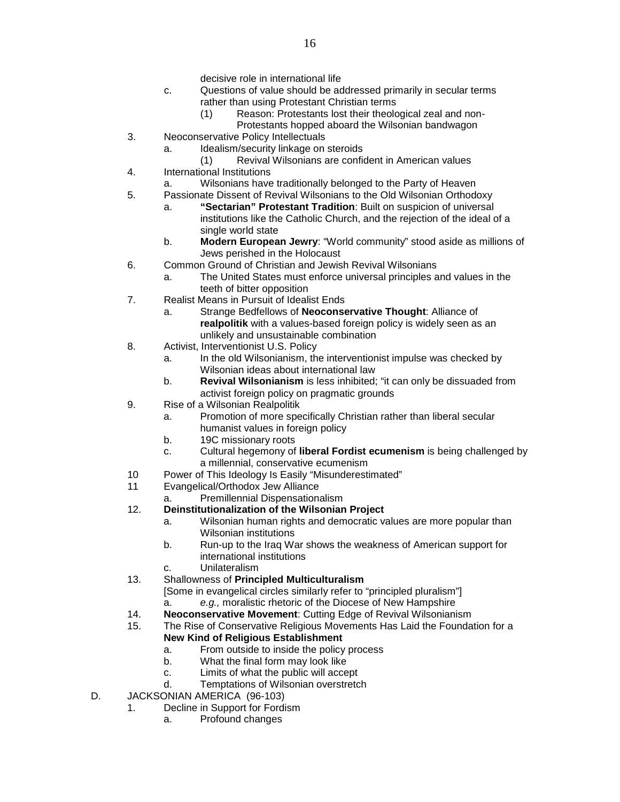- decisive role in international life
- c. Questions of value should be addressed primarily in secular terms rather than using Protestant Christian terms
	- (1) Reason: Protestants lost their theological zeal and non-
		- Protestants hopped aboard the Wilsonian bandwagon
- 3. Neoconservative Policy Intellectuals
	- a. Idealism/security linkage on steroids
- (1) Revival Wilsonians are confident in American values 4. International Institutions
	- a. Wilsonians have traditionally belonged to the Party of Heaven
- 5. Passionate Dissent of Revival Wilsonians to the Old Wilsonian Orthodoxy
	- a. **"Sectarian" Protestant Tradition**: Built on suspicion of universal institutions like the Catholic Church, and the rejection of the ideal of a single world state
	- b. **Modern European Jewry**: "World community" stood aside as millions of Jews perished in the Holocaust
- 6. Common Ground of Christian and Jewish Revival Wilsonians
	- a. The United States must enforce universal principles and values in the teeth of bitter opposition
- 7. Realist Means in Pursuit of Idealist Ends
	- a. Strange Bedfellows of **Neoconservative Thought**: Alliance of **realpolitik** with a values-based foreign policy is widely seen as an unlikely and unsustainable combination
- 8. Activist, Interventionist U.S. Policy
	- a. In the old Wilsonianism, the interventionist impulse was checked by Wilsonian ideas about international law
	- b. **Revival Wilsonianism** is less inhibited; "it can only be dissuaded from activist foreign policy on pragmatic grounds
- 9. Rise of a Wilsonian Realpolitik
	- a. Promotion of more specifically Christian rather than liberal secular humanist values in foreign policy
	- b. 19C missionary roots
	- c. Cultural hegemony of **liberal Fordist ecumenism** is being challenged by a millennial, conservative ecumenism
- 10 Power of This Ideology Is Easily "Misunderestimated"<br>11 Evangelical/Orthodox Jew Alliance
- Evangelical/Orthodox Jew Alliance
- a. Premillennial Dispensationalism

## 12. **Deinstitutionalization of the Wilsonian Project**

- a. Wilsonian human rights and democratic values are more popular than Wilsonian institutions
- b. Run-up to the Iraq War shows the weakness of American support for international institutions
- Unilateralism
- 13. Shallowness of **Principled Multiculturalism**
	- [Some in evangelical circles similarly refer to "principled pluralism"] a. *e.g.,* moralistic rhetoric of the Diocese of New Hampshire
- 14. **Neoconservative Movement**: Cutting Edge of Revival Wilsonianism
- 15. The Rise of Conservative Religious Movements Has Laid the Foundation for a **New Kind of Religious Establishment**
	- a. From outside to inside the policy process
	- b. What the final form may look like
	- c. Limits of what the public will accept
	- d. Temptations of Wilsonian overstretch
- D. JACKSONIAN AMERICA (96-103)
	- 1. Decline in Support for Fordism
		- a. Profound changes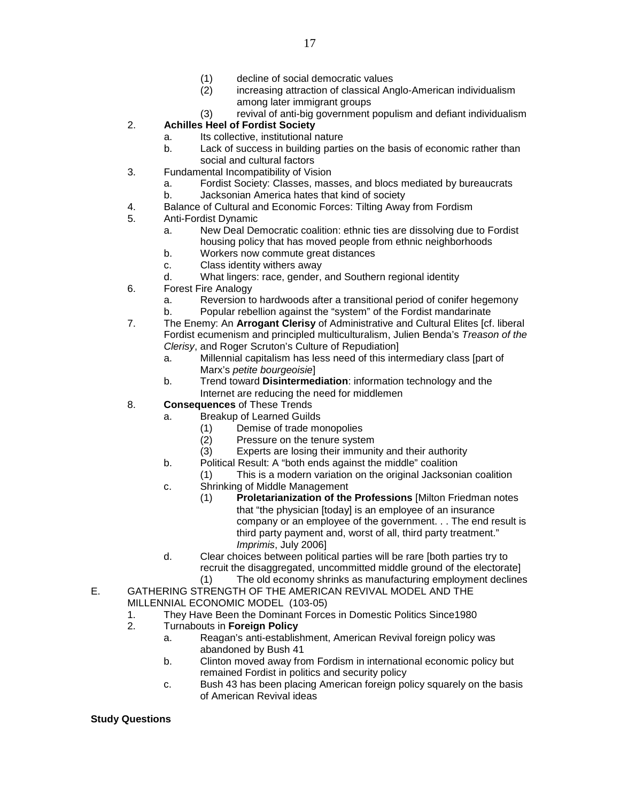- (1) decline of social democratic values
- (2) increasing attraction of classical Anglo-American individualism among later immigrant groups
- (3) revival of anti-big government populism and defiant individualism
- 2. **Achilles Heel of Fordist Society**
	- a. Its collective, institutional nature
	- b. Lack of success in building parties on the basis of economic rather than social and cultural factors
- 3. Fundamental Incompatibility of Vision
	- a. Fordist Society: Classes, masses, and blocs mediated by bureaucrats
	- b. Jacksonian America hates that kind of society
- 4. Balance of Cultural and Economic Forces: Tilting Away from Fordism<br>5. Anti-Fordist Dynamic
- 5. Anti-Fordist Dynamic
	- a. New Deal Democratic coalition: ethnic ties are dissolving due to Fordist housing policy that has moved people from ethnic neighborhoods
	- b. Workers now commute great distances
	- c. Class identity withers away
	- d. What lingers: race, gender, and Southern regional identity
- 6. Forest Fire Analogy
	- a. Reversion to hardwoods after a transitional period of conifer hegemony
	- b. Popular rebellion against the "system" of the Fordist mandarinate
- 7. The Enemy: An **Arrogant Clerisy** of Administrative and Cultural Elites [cf. liberal Fordist ecumenism and principled multiculturalism, Julien Benda's *Treason of the Clerisy*, and Roger Scruton's Culture of Repudiation]
	- a. Millennial capitalism has less need of this intermediary class [part of Marx's *petite bourgeoisie*]
	- b. Trend toward **Disintermediation**: information technology and the Internet are reducing the need for middlemen
- 8. **Consequences** of These Trends
	- a. Breakup of Learned Guilds
		- (1) Demise of trade monopolies<br>(2) Pressure on the tenure syste
		- Pressure on the tenure system
		- (3) Experts are losing their immunity and their authority
		- b. Political Result: A "both ends against the middle" coalition
			- (1) This is a modern variation on the original Jacksonian coalition
		- c. Shrinking of Middle Management
			- (1) **Proletarianization of the Professions** [Milton Friedman notes that "the physician [today] is an employee of an insurance company or an employee of the government. . . The end result is third party payment and, worst of all, third party treatment." *Imprimis*, July 2006]
		- d. Clear choices between political parties will be rare [both parties try to recruit the disaggregated, uncommitted middle ground of the electorate]
			- (1) The old economy shrinks as manufacturing employment declines
- E. GATHERING STRENGTH OF THE AMERICAN REVIVAL MODEL AND THE MILLENNIAL ECONOMIC MODEL (103-05)
	- 1. They Have Been the Dominant Forces in Domestic Politics Since 1980<br>2. Turnabouts in Foreign Policy
	- 2. Turnabouts in **Foreign Policy**
		- a. Reagan's anti-establishment, American Revival foreign policy was abandoned by Bush 41
		- b. Clinton moved away from Fordism in international economic policy but remained Fordist in politics and security policy
		- c. Bush 43 has been placing American foreign policy squarely on the basis of American Revival ideas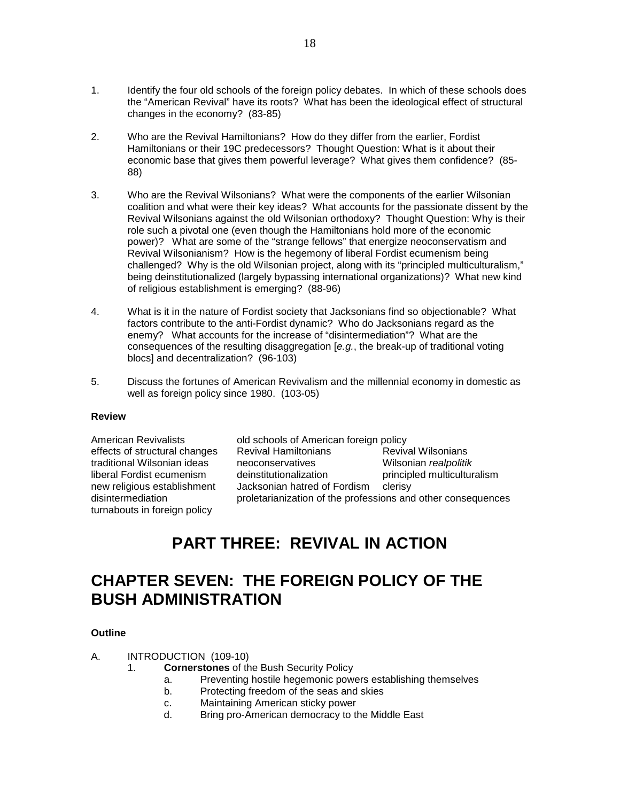- 1. Identify the four old schools of the foreign policy debates. In which of these schools does the "American Revival" have its roots? What has been the ideological effect of structural changes in the economy? (83-85)
- 2. Who are the Revival Hamiltonians? How do they differ from the earlier, Fordist Hamiltonians or their 19C predecessors? Thought Question: What is it about their economic base that gives them powerful leverage? What gives them confidence? (85- 88)
- 3. Who are the Revival Wilsonians? What were the components of the earlier Wilsonian coalition and what were their key ideas? What accounts for the passionate dissent by the Revival Wilsonians against the old Wilsonian orthodoxy? Thought Question: Why is their role such a pivotal one (even though the Hamiltonians hold more of the economic power)? What are some of the "strange fellows" that energize neoconservatism and Revival Wilsonianism? How is the hegemony of liberal Fordist ecumenism being challenged? Why is the old Wilsonian project, along with its "principled multiculturalism," being deinstitutionalized (largely bypassing international organizations)? What new kind of religious establishment is emerging? (88-96)
- 4. What is it in the nature of Fordist society that Jacksonians find so objectionable? What factors contribute to the anti-Fordist dynamic? Who do Jacksonians regard as the enemy? What accounts for the increase of "disintermediation"? What are the consequences of the resulting disaggregation [*e.g.*, the break-up of traditional voting blocs] and decentralization? (96-103)
- 5. Discuss the fortunes of American Revivalism and the millennial economy in domestic as well as foreign policy since 1980. (103-05)

### **Review**

traditional Wilsonian ideas<br>liberal Fordist ecumenism turnabouts in foreign policy

American Revivalists **old schools of American foreign policy**<br>
effects of structural changes Revival Hamiltonians **Revival Wilsonians** effects of structural changes discussion Revival Hamiltonians and Revival Wilsonians<br>

Revival Wilsonian ideas discussions erratives and Milsonian realpolitik liberal Fordist ecumenism deinstitutionalization principled multiculturalism<br>new religious establishment Jacksonian hatred of Fordism clerisy Jacksonian hatred of Fordism clerisy disintermediation proletarianization of the professions and other consequences

# **PART THREE: REVIVAL IN ACTION**

# **CHAPTER SEVEN: THE FOREIGN POLICY OF THE BUSH ADMINISTRATION**

## **Outline**

A. INTRODUCTION (109-10)

- 1. **Cornerstones** of the Bush Security Policy
	- a. Preventing hostile hegemonic powers establishing themselves
	- b. Protecting freedom of the seas and skies
	- c. Maintaining American sticky power<br>d. Bring pro-American democracy to t
	- Bring pro-American democracy to the Middle East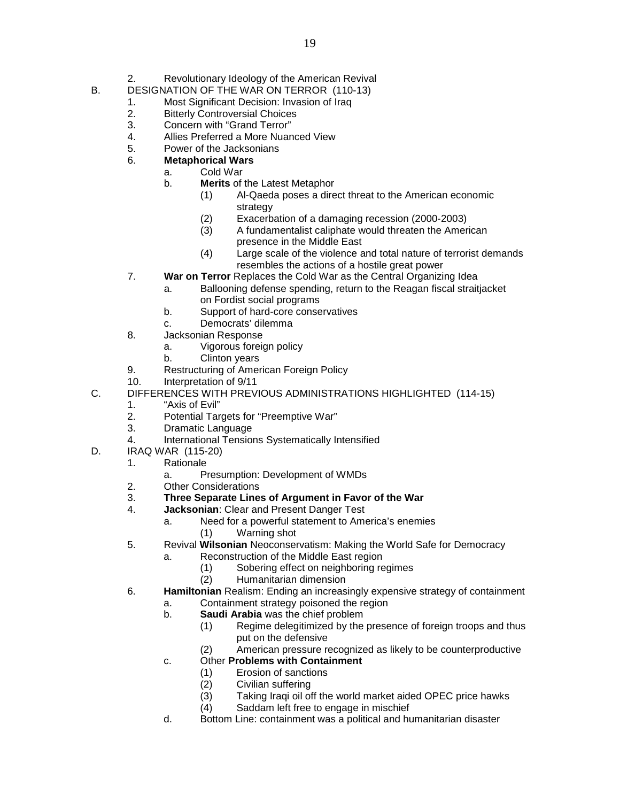- 2. Revolutionary Ideology of the American Revival
- B. DESIGNATION OF THE WAR ON TERROR (110-13)
	- 1. Most Significant Decision: Invasion of Iraq<br>2. Bitterly Controversial Choices
	- **Bitterly Controversial Choices**
	- 3. Concern with "Grand Terror"
	- 4. Allies Preferred a More Nuanced View<br>5. Power of the Jacksonians
	- 5. Power of the Jacksonians
	- 6. **Metaphorical Wars**
		- a. Cold War<br>b. **Merits** of
			- **Merits** of the Latest Metaphor
				- (1) Al-Qaeda poses a direct threat to the American economic strategy
				- (2) Exacerbation of a damaging recession (2000-2003)
				- (3) A fundamentalist caliphate would threaten the American presence in the Middle East
				- (4) Large scale of the violence and total nature of terrorist demands resembles the actions of a hostile great power
	- 7. **War on Terror** Replaces the Cold War as the Central Organizing Idea
		- a. Ballooning defense spending, return to the Reagan fiscal straitjacket
			- on Fordist social programs
		- b. Support of hard-core conservatives
		- c. Democrats' dilemma
	- 8. Jacksonian Response
		- a. Vigorous foreign policy
			- b. Clinton years
	- 9. Restructuring of American Foreign Policy
	- 10. Interpretation of 9/11
- C. DIFFERENCES WITH PREVIOUS ADMINISTRATIONS HIGHLIGHTED (114-15)
	- 1. "Axis of Evil"
	- 2. Potential Targets for "Preemptive War"
	- 3. Dramatic Language
	- 4. International Tensions Systematically Intensified
- D. IRAQ WAR (115-20)
	- 1. Rationale
		- a. Presumption: Development of WMDs
	- 2. Other Considerations<br>3. **Three Separate Line**
	- 3. **Three Separate Lines of Argument in Favor of the War**
	- 4. **Jacksonian**: Clear and Present Danger Test
		- a. Need for a powerful statement to America's enemies
			- (1) Warning shot
	- 5. Revival **Wilsonian** Neoconservatism: Making the World Safe for Democracy
		- a. Reconstruction of the Middle East region
			- (1) Sobering effect on neighboring regimes
			- (2) Humanitarian dimension
	- 6. **Hamiltonian** Realism: Ending an increasingly expensive strategy of containment
		- a. Containment strategy poisoned the region
		- b. **Saudi Arabia** was the chief problem
			- (1) Regime delegitimized by the presence of foreign troops and thus put on the defensive
			- (2) American pressure recognized as likely to be counterproductive
		- c. Other **Problems with Containment**
			- (1) Erosion of sanctions
			- (2) Civilian suffering
			- Taking Iraqi oil off the world market aided OPEC price hawks
			- (4) Saddam left free to engage in mischief
		- d. Bottom Line: containment was a political and humanitarian disaster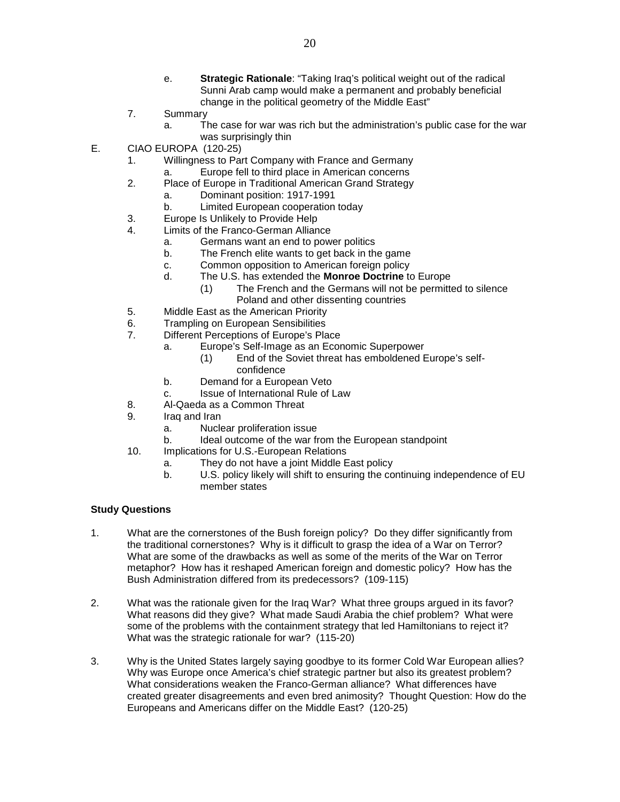- e. **Strategic Rationale**: "Taking Iraq's political weight out of the radical Sunni Arab camp would make a permanent and probably beneficial change in the political geometry of the Middle East"
- 7. Summary
	- a. The case for war was rich but the administration's public case for the war was surprisingly thin
- E. CIAO EUROPA (120-25)
	- 1. Willingness to Part Company with France and Germany
		- a. Europe fell to third place in American concerns
	- 2. Place of Europe in Traditional American Grand Strategy
		- a. Dominant position: 1917-1991
		- b. Limited European cooperation today
	- 3. Europe Is Unlikely to Provide Help
	- 4. Limits of the Franco-German Alliance
		- a. Germans want an end to power politics
		- b. The French elite wants to get back in the game
		- c. Common opposition to American foreign policy
		- d. The U.S. has extended the **Monroe Doctrine** to Europe
			- (1) The French and the Germans will not be permitted to silence
				- Poland and other dissenting countries
	- 5. Middle East as the American Priority
	- 6. Trampling on European Sensibilities<br>7. Different Perceptions of Europe's Pla
	- Different Perceptions of Europe's Place
		- a. Europe's Self-Image as an Economic Superpower
			- (1) End of the Soviet threat has emboldened Europe's selfconfidence
		- b. Demand for a European Veto
		- c. Issue of International Rule of Law
	- 8. Al-Qaeda as a Common Threat
	- 9. Iraq and Iran
		- a. Nuclear proliferation issue
		- b. Ideal outcome of the war from the European standpoint
	- 10. Implications for U.S.-European Relations
		- a. They do not have a joint Middle East policy
		- b. U.S. policy likely will shift to ensuring the continuing independence of EU member states

- 1. What are the cornerstones of the Bush foreign policy? Do they differ significantly from the traditional cornerstones? Why is it difficult to grasp the idea of a War on Terror? What are some of the drawbacks as well as some of the merits of the War on Terror metaphor? How has it reshaped American foreign and domestic policy? How has the Bush Administration differed from its predecessors? (109-115)
- 2. What was the rationale given for the Iraq War? What three groups argued in its favor? What reasons did they give? What made Saudi Arabia the chief problem? What were some of the problems with the containment strategy that led Hamiltonians to reject it? What was the strategic rationale for war? (115-20)
- 3. Why is the United States largely saying goodbye to its former Cold War European allies? Why was Europe once America's chief strategic partner but also its greatest problem? What considerations weaken the Franco-German alliance? What differences have created greater disagreements and even bred animosity? Thought Question: How do the Europeans and Americans differ on the Middle East? (120-25)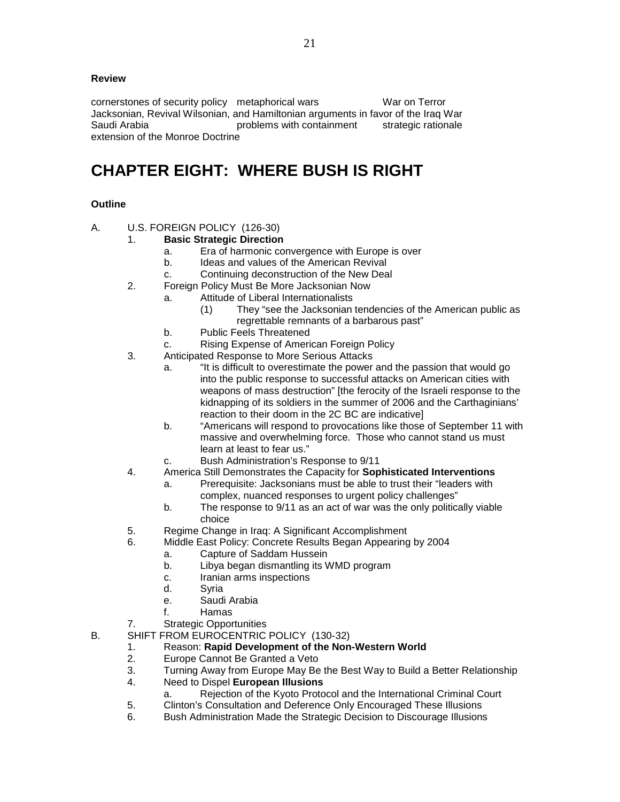# **Review**

cornerstones of security policy metaphorical wars War on Terror Jacksonian, Revival Wilsonian, and Hamiltonian arguments in favor of the Iraq War Saudi Arabia problems with containment strategic rationale extension of the Monroe Doctrine

# **CHAPTER EIGHT: WHERE BUSH IS RIGHT**

# **Outline**

A. U.S. FOREIGN POLICY (126-30)

# 1. **Basic Strategic Direction**

- a. Era of harmonic convergence with Europe is over
- b. Ideas and values of the American Revival
- c. Continuing deconstruction of the New Deal
- 2. Foreign Policy Must Be More Jacksonian Now
	- a. Attitude of Liberal Internationalists
		- (1) They "see the Jacksonian tendencies of the American public as regrettable remnants of a barbarous past"
	- b. Public Feels Threatened
	- c. Rising Expense of American Foreign Policy
- 3. Anticipated Response to More Serious Attacks
	- a. "It is difficult to overestimate the power and the passion that would go into the public response to successful attacks on American cities with weapons of mass destruction" [the ferocity of the Israeli response to the kidnapping of its soldiers in the summer of 2006 and the Carthaginians' reaction to their doom in the 2C BC are indicative]
	- b. "Americans will respond to provocations like those of September 11 with massive and overwhelming force. Those who cannot stand us must learn at least to fear us."
	- c. Bush Administration's Response to 9/11
- 4. America Still Demonstrates the Capacity for **Sophisticated Interventions**
	- a. Prerequisite: Jacksonians must be able to trust their "leaders with complex, nuanced responses to urgent policy challenges"
		- b. The response to 9/11 as an act of war was the only politically viable choice
- 5. Regime Change in Iraq: A Significant Accomplishment
- 6. Middle East Policy: Concrete Results Began Appearing by 2004
	- a. Capture of Saddam Hussein
	- b. Libya began dismantling its WMD program
	- c. Iranian arms inspections
	- d. Syria
	- e. Saudi Arabia
	- f. Hamas
- 7. Strategic Opportunities
- B. SHIFT FROM EUROCENTRIC POLICY (130-32)
	- 1. Reason: **Rapid Development of the Non-Western World**
	- 2. Europe Cannot Be Granted a Veto<br>3. Turning Away from Europe May Be
	- 3. Turning Away from Europe May Be the Best Way to Build a Better Relationship
	- 4. Need to Dispel **European Illusions**
		- a. Rejection of the Kyoto Protocol and the International Criminal Court
	- 5. Clinton's Consultation and Deference Only Encouraged These Illusions
	- 6. Bush Administration Made the Strategic Decision to Discourage Illusions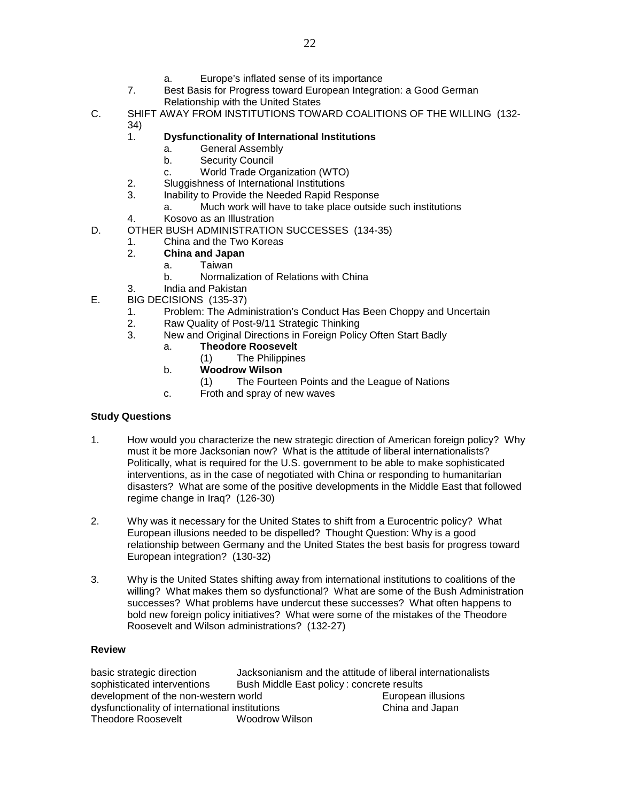- a. Europe's inflated sense of its importance
- 7. Best Basis for Progress toward European Integration: a Good German Relationship with the United States
- C. SHIFT AWAY FROM INSTITUTIONS TOWARD COALITIONS OF THE WILLING (132- 34)
	- 1. **Dysfunctionality of International Institutions**
		- a. General Assembly
		- b. Security Council
		- c. World Trade Organization (WTO)
	- 2. Sluggishness of International Institutions
	- 3. Inability to Provide the Needed Rapid Response
		- a. Much work will have to take place outside such institutions
	- 4. Kosovo as an Illustration
- D. OTHER BUSH ADMINISTRATION SUCCESSES (134-35)
	- 1. China and the Two Koreas
	- 2. **China and Japan**
		- a. Taiwan
		- b. Normalization of Relations with China
	- 3. India and Pakistan
- E. BIG DECISIONS (135-37)
	- 1. Problem: The Administration's Conduct Has Been Choppy and Uncertain<br>2. Raw Quality of Post-9/11 Strategic Thinking
	- 2. Raw Quality of Post-9/11 Strategic Thinking
	- 3. New and Original Directions in Foreign Policy Often Start Badly
		- a. **Theodore Roosevelt**
			- (1) The Philippines
		- b. **Woodrow Wilson**
		- (1) The Fourteen Points and the League of Nations
		- c. Froth and spray of new waves

- 1. How would you characterize the new strategic direction of American foreign policy? Why must it be more Jacksonian now? What is the attitude of liberal internationalists? Politically, what is required for the U.S. government to be able to make sophisticated interventions, as in the case of negotiated with China or responding to humanitarian disasters? What are some of the positive developments in the Middle East that followed regime change in Iraq? (126-30)
- 2. Why was it necessary for the United States to shift from a Eurocentric policy? What European illusions needed to be dispelled? Thought Question: Why is a good relationship between Germany and the United States the best basis for progress toward European integration? (130-32)
- 3. Why is the United States shifting away from international institutions to coalitions of the willing? What makes them so dysfunctional? What are some of the Bush Administration successes? What problems have undercut these successes? What often happens to bold new foreign policy initiatives? What were some of the mistakes of the Theodore Roosevelt and Wilson administrations? (132-27)

### **Review**

basic strategic direction Jacksonianism and the attitude of liberal internationalists sophisticated interventions Bush Middle East policy: concrete results<br>development of the non-western world European illusions development of the non-western world dysfunctionality of international institutions China and Japan Theodore Roosevelt **Woodrow Wilson**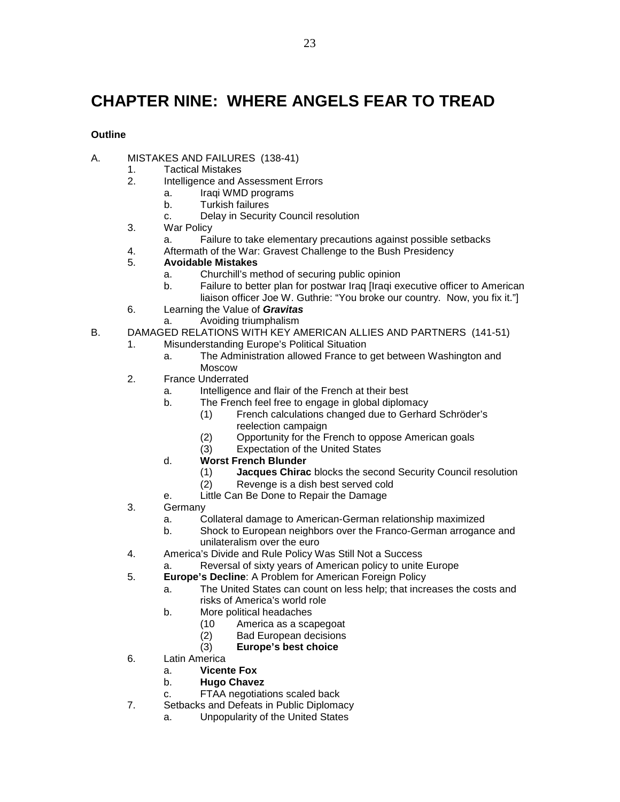# **CHAPTER NINE: WHERE ANGELS FEAR TO TREAD**

# **Outline**

- A. MISTAKES AND FAILURES (138-41)
	- 1. Tactical Mistakes<br>2. Intelligence and A
		- Intelligence and Assessment Errors
			- a. Iraqi WMD programs
				- b. Turkish failures
				- c. Delay in Security Council resolution
	- 3. War Policy
		- a. Failure to take elementary precautions against possible setbacks
	- 4. Aftermath of the War: Gravest Challenge to the Bush Presidency<br>5. Avoidable Mistakes
	- 5. **Avoidable Mistakes**
		- a. Churchill's method of securing public opinion
		- b. Failure to better plan for postwar Iraq [Iraqi executive officer to American liaison officer Joe W. Guthrie: "You broke our country. Now, you fix it."]
	- 6. Learning the Value of *Gravitas*
		- a. Avoiding triumphalism
- B. DAMAGED RELATIONS WITH KEY AMERICAN ALLIES AND PARTNERS (141-51)
	- 1. Misunderstanding Europe's Political Situation
		- a. The Administration allowed France to get between Washington and Moscow
	- 2. France Underrated
		- a. Intelligence and flair of the French at their best
		- b. The French feel free to engage in global diplomacy
			- (1) French calculations changed due to Gerhard Schröder's reelection campaign
			- (2) Opportunity for the French to oppose American goals
			- (3) Expectation of the United States
		- d. **Worst French Blunder**
			- (1) **Jacques Chirac** blocks the second Security Council resolution
			- Revenge is a dish best served cold
		- e. Little Can Be Done to Repair the Damage
	- 3. Germany
		- a. Collateral damage to American-German relationship maximized
		- b. Shock to European neighbors over the Franco-German arrogance and unilateralism over the euro
	- 4. America's Divide and Rule Policy Was Still Not a Success
	- Reversal of sixty years of American policy to unite Europe
	- 5. **Europe's Decline**: A Problem for American Foreign Policy
		- a. The United States can count on less help; that increases the costs and risks of America's world role
		- b. More political headaches<br>(10 America as a sca
			-
			- (10 America as a scapegoat<br>(2) Bad European decisions Bad European decisions
			- (3) **Europe's best choice**
	- 6. Latin America
		- a. **Vicente Fox**
		- b. **Hugo Chavez**
		- c. FTAA negotiations scaled back
	- 7. Setbacks and Defeats in Public Diplomacy
		- a. Unpopularity of the United States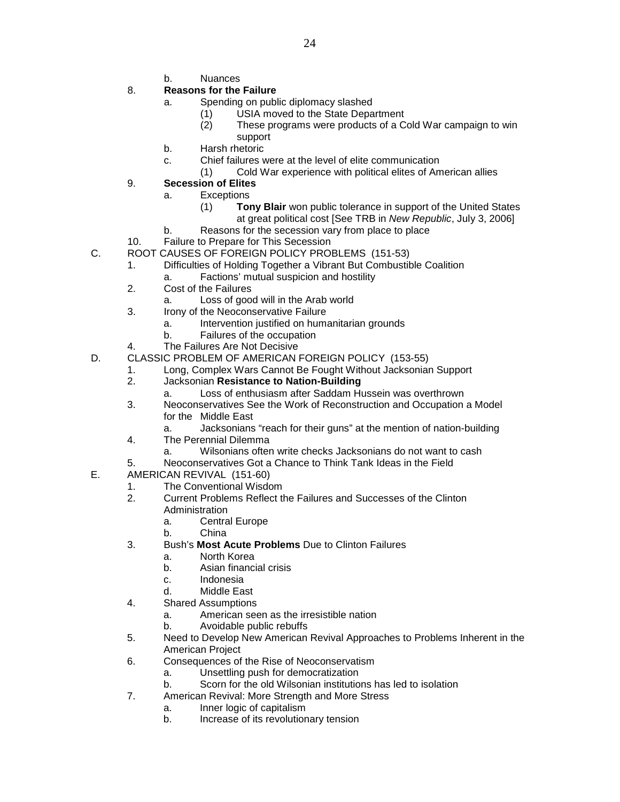b. Nuances

# 8. **Reasons for the Failure**

- a. Spending on public diplomacy slashed
	- (1) USIA moved to the State Department
	- (2) These programs were products of a Cold War campaign to win support
- b. Harsh rhetoric
- c. Chief failures were at the level of elite communication
	- (1) Cold War experience with political elites of American allies

# 9. **Secession of Elites**

- a. Exceptions
	- (1) **Tony Blair** won public tolerance in support of the United States at great political cost [See TRB in *New Republic*, July 3, 2006]
- b. Reasons for the secession vary from place to place
- 10. Failure to Prepare for This Secession
- C. ROOT CAUSES OF FOREIGN POLICY PROBLEMS (151-53)
	- 1. Difficulties of Holding Together a Vibrant But Combustible Coalition
		- a. Factions' mutual suspicion and hostility
	- 2. Cost of the Failures
		- a. Loss of good will in the Arab world
	- 3. Irony of the Neoconservative Failure
		- a. Intervention justified on humanitarian grounds
		- b. Failures of the occupation
	- 4. The Failures Are Not Decisive
- D. CLASSIC PROBLEM OF AMERICAN FOREIGN POLICY (153-55)
	- 1. Long, Complex Wars Cannot Be Fought Without Jacksonian Support
	- 2. Jacksonian **Resistance to Nation-Building**
		- a. Loss of enthusiasm after Saddam Hussein was overthrown
	- 3. Neoconservatives See the Work of Reconstruction and Occupation a Model for the Middle East
		- a. Jacksonians "reach for their guns" at the mention of nation-building
	- 4. The Perennial Dilemma
		- a. Wilsonians often write checks Jacksonians do not want to cash
	- 5. Neoconservatives Got a Chance to Think Tank Ideas in the Field
- E. AMERICAN REVIVAL (151-60)
	- 1. The Conventional Wisdom
	- 2. Current Problems Reflect the Failures and Successes of the Clinton Administration
		- a. Central Europe
		- b. China
	- 3. Bush's **Most Acute Problems** Due to Clinton Failures
		- a. North Korea
		- b. Asian financial crisis
		- c. Indonesia
		- d. Middle East
	- 4. Shared Assumptions
		- a. American seen as the irresistible nation
		- b. Avoidable public rebuffs
	- 5. Need to Develop New American Revival Approaches to Problems Inherent in the American Project
	- 6. Consequences of the Rise of Neoconservatism
		- a. Unsettling push for democratization
		- b. Scorn for the old Wilsonian institutions has led to isolation
	- 7. American Revival: More Strength and More Stress
		- a. Inner logic of capitalism
		- b. Increase of its revolutionary tension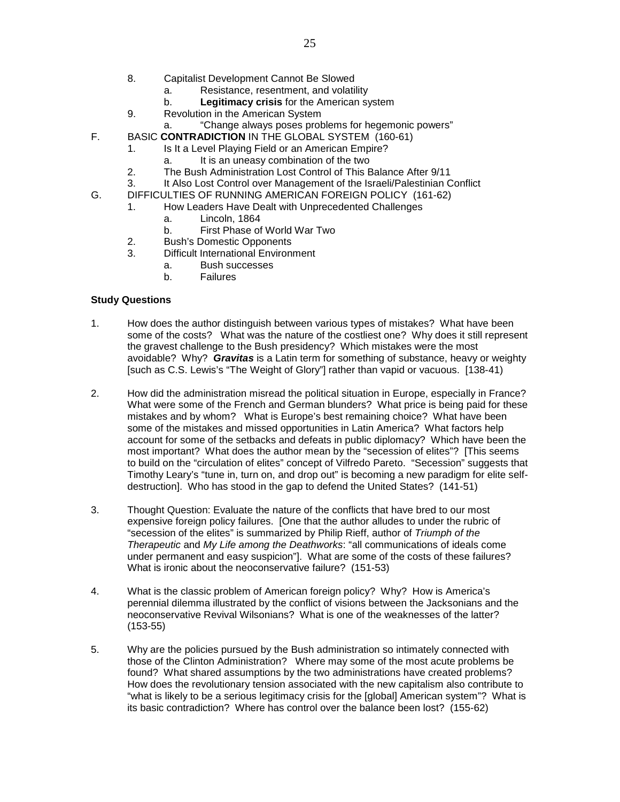- 8. Capitalist Development Cannot Be Slowed
	- a. Resistance, resentment, and volatility
	- b. **Legitimacy crisis** for the American system
- 9. Revolution in the American System
	- a. "Change always poses problems for hegemonic powers"
- F. BASIC **CONTRADICTION** IN THE GLOBAL SYSTEM (160-61)
	- 1. Is It a Level Playing Field or an American Empire?
		- a. It is an uneasy combination of the two
	- 2. The Bush Administration Lost Control of This Balance After 9/11
	- 3. It Also Lost Control over Management of the Israeli/Palestinian Conflict
- G. DIFFICULTIES OF RUNNING AMERICAN FOREIGN POLICY (161-62)
	- 1. How Leaders Have Dealt with Unprecedented Challenges
		- a. Lincoln, 1864
		- b. First Phase of World War Two
	- 2. Bush's Domestic Opponents
	- 3. Difficult International Environment
		- a. Bush successes
		- b. Failures

- 1. How does the author distinguish between various types of mistakes? What have been some of the costs? What was the nature of the costliest one? Why does it still represent the gravest challenge to the Bush presidency? Which mistakes were the most avoidable? Why? *Gravitas* is a Latin term for something of substance, heavy or weighty [such as C.S. Lewis's "The Weight of Glory"] rather than vapid or vacuous. [138-41)
- 2. How did the administration misread the political situation in Europe, especially in France? What were some of the French and German blunders? What price is being paid for these mistakes and by whom? What is Europe's best remaining choice? What have been some of the mistakes and missed opportunities in Latin America? What factors help account for some of the setbacks and defeats in public diplomacy? Which have been the most important? What does the author mean by the "secession of elites"? [This seems to build on the "circulation of elites" concept of Vilfredo Pareto. "Secession" suggests that Timothy Leary's "tune in, turn on, and drop out" is becoming a new paradigm for elite selfdestruction]. Who has stood in the gap to defend the United States? (141-51)
- 3. Thought Question: Evaluate the nature of the conflicts that have bred to our most expensive foreign policy failures. [One that the author alludes to under the rubric of "secession of the elites" is summarized by Philip Rieff, author of *Triumph of the Therapeutic* and *My Life among the Deathworks*: "all communications of ideals come under permanent and easy suspicion"]. What are some of the costs of these failures? What is ironic about the neoconservative failure? (151-53)
- 4. What is the classic problem of American foreign policy? Why? How is America's perennial dilemma illustrated by the conflict of visions between the Jacksonians and the neoconservative Revival Wilsonians? What is one of the weaknesses of the latter? (153-55)
- 5. Why are the policies pursued by the Bush administration so intimately connected with those of the Clinton Administration? Where may some of the most acute problems be found? What shared assumptions by the two administrations have created problems? How does the revolutionary tension associated with the new capitalism also contribute to "what is likely to be a serious legitimacy crisis for the [global] American system"? What is its basic contradiction? Where has control over the balance been lost? (155-62)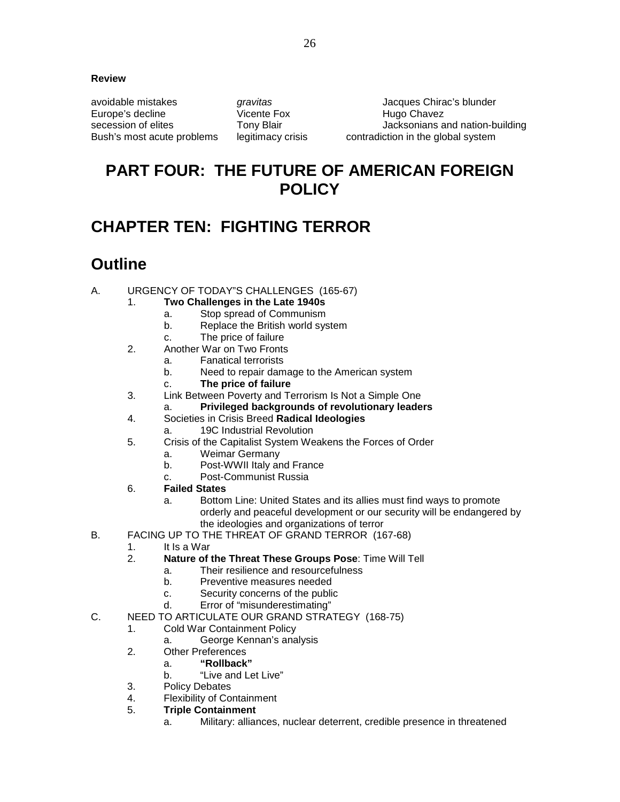### **Review**

Europe's decline

avoidable mistakes *gravitas* Jacques Chirac's blunder secession of elites Tony Blair The Jacksonians and nation-building Bush's most acute problems legitimacy crisis contradiction in the global system

# **PART FOUR: THE FUTURE OF AMERICAN FOREIGN POLICY**

# **CHAPTER TEN: FIGHTING TERROR**

# **Outline**

- A. URGENCY OF TODAY"S CHALLENGES (165-67)
	- 1. **Two Challenges in the Late 1940s**
		- a. Stop spread of Communism
		- b. Replace the British world system
		- c. The price of failure
	- 2. Another War on Two Fronts
		- a. Fanatical terrorists
		- b. Need to repair damage to the American system
		- c. **The price of failure**
	- 3. Link Between Poverty and Terrorism Is Not a Simple One
		- a. **Privileged backgrounds of revolutionary leaders**
	- 4. Societies in Crisis Breed **Radical Ideologies**
		- a. 19C Industrial Revolution
	- 5. Crisis of the Capitalist System Weakens the Forces of Order
		- a. Weimar Germany
		- b. Post-WWII Italy and France
		- c. Post-Communist Russia
	- 6. **Failed States**
		- a. Bottom Line: United States and its allies must find ways to promote orderly and peaceful development or our security will be endangered by the ideologies and organizations of terror
- B. FACING UP TO THE THREAT OF GRAND TERROR (167-68)
	- 1. It Is a War
	- 2. **Nature of the Threat These Groups Pose**: Time Will Tell
		- a. Their resilience and resourcefulness
		- b. Preventive measures needed
		- c. Security concerns of the public
		- d. Error of "misunderestimating"
- C. NEED TO ARTICULATE OUR GRAND STRATEGY (168-75)
	- 1. Cold War Containment Policy
		- a. George Kennan's analysis
	- 2. Other Preferences
		- a. **"Rollback"**
			- b. "Live and Let Live"
	- 3. Policy Debates
	- 4. Flexibility of Containment<br>5 **Triple Containment**
	- 5. **Triple Containment**
		- a. Military: alliances, nuclear deterrent, credible presence in threatened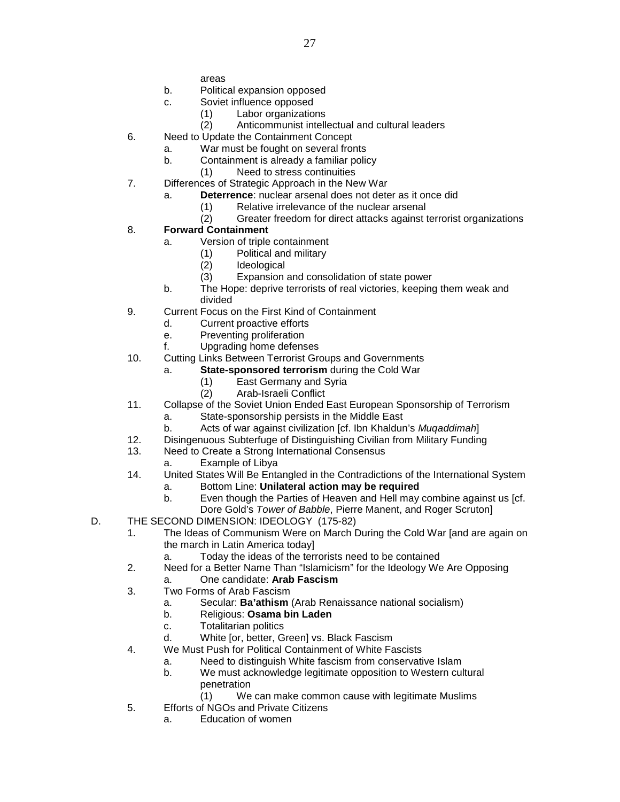areas

- b. Political expansion opposed
- c. Soviet influence opposed
	- (1) Labor organizations
	- (2) Anticommunist intellectual and cultural leaders
- 6. Need to Update the Containment Concept
	- a. War must be fought on several fronts
		- b. Containment is already a familiar policy
			- (1) Need to stress continuities
- 7. Differences of Strategic Approach in the New War
	- a. **Deterrence**: nuclear arsenal does not deter as it once did
		- (1) Relative irrelevance of the nuclear arsenal
		- Greater freedom for direct attacks against terrorist organizations

# 8. **Forward Containment**

- a. Version of triple containment
	- (1) Political and military
	- (2) Ideological
	- (3) Expansion and consolidation of state power
- b. The Hope: deprive terrorists of real victories, keeping them weak and divided
- 9. Current Focus on the First Kind of Containment
	- d. Current proactive efforts
	- e. Preventing proliferation
	- f. Upgrading home defenses
- 10. Cutting Links Between Terrorist Groups and Governments
	- a. **State-sponsored terrorism** during the Cold War
		- (1) East Germany and Syria
		- (2) Arab-Israeli Conflict
- 11. Collapse of the Soviet Union Ended East European Sponsorship of Terrorism
	- State-sponsorship persists in the Middle East
	- b. Acts of war against civilization [cf. Ibn Khaldun's *Muqaddimah*]
- 12. Disingenuous Subterfuge of Distinguishing Civilian from Military Funding
- 13. Need to Create a Strong International Consensus
	- a. Example of Libya
- 14. United States Will Be Entangled in the Contradictions of the International System
	- a. Bottom Line: **Unilateral action may be required**
	- b. Even though the Parties of Heaven and Hell may combine against us [cf. Dore Gold's *Tower of Babble*, Pierre Manent, and Roger Scruton]
- D. THE SECOND DIMENSION: IDEOLOGY (175-82)
	- 1. The Ideas of Communism Were on March During the Cold War [and are again on the march in Latin America today]
		- a. Today the ideas of the terrorists need to be contained
	- 2. Need for a Better Name Than "Islamicism" for the Ideology We Are Opposing
		- a. One candidate: **Arab Fascism**
	- 3. Two Forms of Arab Fascism
		- a. Secular: **Ba'athism** (Arab Renaissance national socialism)
		- b. Religious: **Osama bin Laden**
		- c. Totalitarian politics
		- d. White [or, better, Green] vs. Black Fascism
	- 4. We Must Push for Political Containment of White Fascists
		- a. Need to distinguish White fascism from conservative Islam
		- b. We must acknowledge legitimate opposition to Western cultural penetration
			- (1) We can make common cause with legitimate Muslims
	- 5. Efforts of NGOs and Private Citizens
		- a. Education of women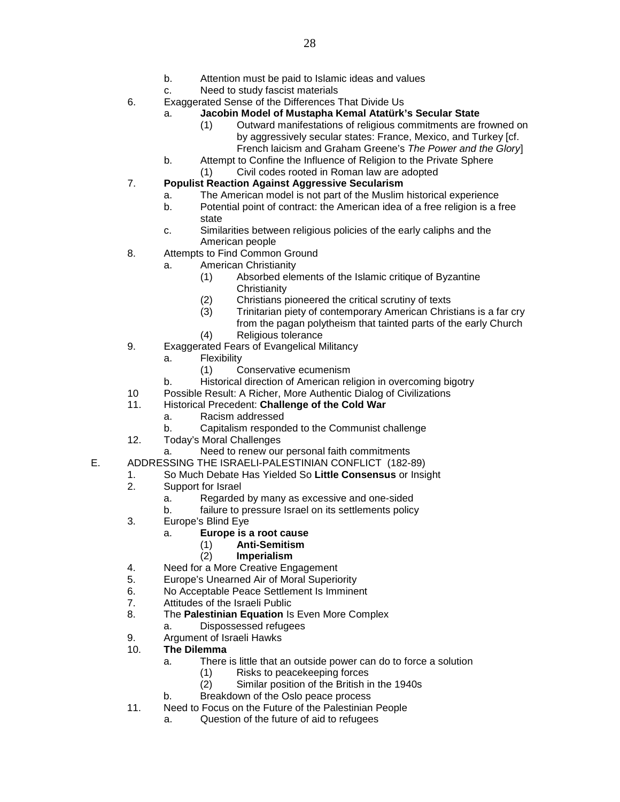- b. Attention must be paid to Islamic ideas and values
- c. Need to study fascist materials
- 6. Exaggerated Sense of the Differences That Divide Us

# a. **Jacobin Model of Mustapha Kemal Atatürk's Secular State**

- (1) Outward manifestations of religious commitments are frowned on by aggressively secular states: France, Mexico, and Turkey [cf. French laicism and Graham Greene's *The Power and the Glory*]
- b. Attempt to Confine the Influence of Religion to the Private Sphere
	- (1) Civil codes rooted in Roman law are adopted

# 7. **Populist Reaction Against Aggressive Secularism**

- a. The American model is not part of the Muslim historical experience
- b. Potential point of contract: the American idea of a free religion is a free state
- c. Similarities between religious policies of the early caliphs and the American people
- 8. Attempts to Find Common Ground
	- a. American Christianity
		- (1) Absorbed elements of the Islamic critique of Byzantine **Christianity**
		- (2) Christians pioneered the critical scrutiny of texts
		- Trinitarian piety of contemporary American Christians is a far cry from the pagan polytheism that tainted parts of the early Church
		- (4) Religious tolerance
- 9. Exaggerated Fears of Evangelical Militancy
	- a. Flexibility
		- (1) Conservative ecumenism
	- b. Historical direction of American religion in overcoming bigotry
- 10 Possible Result: A Richer, More Authentic Dialog of Civilizations
- 11. Historical Precedent: **Challenge of the Cold War**
	- a. Racism addressed
	- b. Capitalism responded to the Communist challenge
- 12. Today's Moral Challenges
	- Need to renew our personal faith commitments
- E. ADDRESSING THE ISRAELI-PALESTINIAN CONFLICT (182-89)
	- 1. So Much Debate Has Yielded So **Little Consensus** or Insight
	- Support for Israel
		- a. Regarded by many as excessive and one-sided
			- b. failure to pressure Israel on its settlements policy
	- 3. Europe's Blind Eye
		- a. **Europe is a root cause**
			- (1) **Anti-Semitism**
			- (2) **Imperialism**
	- 4. Need for a More Creative Engagement
	- 5. Europe's Unearned Air of Moral Superiority
	- 6. No Acceptable Peace Settlement Is Imminent<br>7. Attitudes of the Israeli Public
	- Attitudes of the Israeli Public
	- 8. The **Palestinian Equation** Is Even More Complex
		- a. Dispossessed refugees
	- 9. Argument of Israeli Hawks
	- 10. **The Dilemma**
		- a. There is little that an outside power can do to force a solution
			- (1) Risks to peacekeeping forces
			- (2) Similar position of the British in the 1940s
		- b. Breakdown of the Oslo peace process
	- 11. Need to Focus on the Future of the Palestinian People
		- a. Question of the future of aid to refugees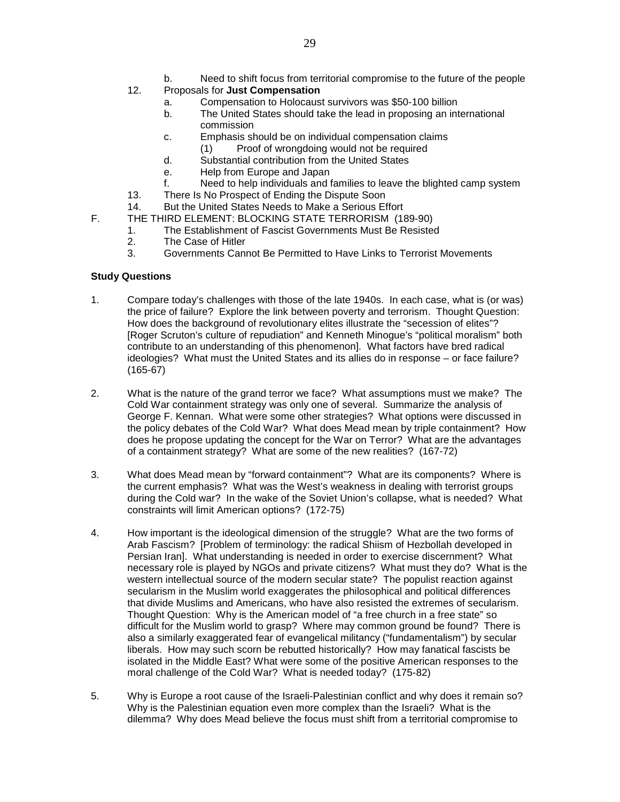- b. Need to shift focus from territorial compromise to the future of the people
- 12. Proposals for **Just Compensation**
	- a. Compensation to Holocaust survivors was \$50-100 billion
	- b. The United States should take the lead in proposing an international commission
	- c. Emphasis should be on individual compensation claims
	- (1) Proof of wrongdoing would not be required
	- d. Substantial contribution from the United States
	- e. Help from Europe and Japan
	- f. Need to help individuals and families to leave the blighted camp system
- 13. There Is No Prospect of Ending the Dispute Soon
- 14. But the United States Needs to Make a Serious Effort
- F. THE THIRD ELEMENT: BLOCKING STATE TERRORISM (189-90)
	- 1. The Establishment of Fascist Governments Must Be Resisted
	- 2. The Case of Hitler
	- 3. Governments Cannot Be Permitted to Have Links to Terrorist Movements

- 1. Compare today's challenges with those of the late 1940s. In each case, what is (or was) the price of failure? Explore the link between poverty and terrorism. Thought Question: How does the background of revolutionary elites illustrate the "secession of elites"? [Roger Scruton's culture of repudiation" and Kenneth Minogue's "political moralism" both contribute to an understanding of this phenomenon]. What factors have bred radical ideologies? What must the United States and its allies do in response – or face failure? (165-67)
- 2. What is the nature of the grand terror we face? What assumptions must we make? The Cold War containment strategy was only one of several. Summarize the analysis of George F. Kennan. What were some other strategies? What options were discussed in the policy debates of the Cold War? What does Mead mean by triple containment? How does he propose updating the concept for the War on Terror? What are the advantages of a containment strategy? What are some of the new realities? (167-72)
- 3. What does Mead mean by "forward containment"? What are its components? Where is the current emphasis? What was the West's weakness in dealing with terrorist groups during the Cold war? In the wake of the Soviet Union's collapse, what is needed? What constraints will limit American options? (172-75)
- 4. How important is the ideological dimension of the struggle? What are the two forms of Arab Fascism? [Problem of terminology: the radical Shiism of Hezbollah developed in Persian Iran]. What understanding is needed in order to exercise discernment? What necessary role is played by NGOs and private citizens? What must they do? What is the western intellectual source of the modern secular state? The populist reaction against secularism in the Muslim world exaggerates the philosophical and political differences that divide Muslims and Americans, who have also resisted the extremes of secularism. Thought Question: Why is the American model of "a free church in a free state" so difficult for the Muslim world to grasp? Where may common ground be found? There is also a similarly exaggerated fear of evangelical militancy ("fundamentalism") by secular liberals. How may such scorn be rebutted historically? How may fanatical fascists be isolated in the Middle East? What were some of the positive American responses to the moral challenge of the Cold War? What is needed today? (175-82)
- 5. Why is Europe a root cause of the Israeli-Palestinian conflict and why does it remain so? Why is the Palestinian equation even more complex than the Israeli? What is the dilemma? Why does Mead believe the focus must shift from a territorial compromise to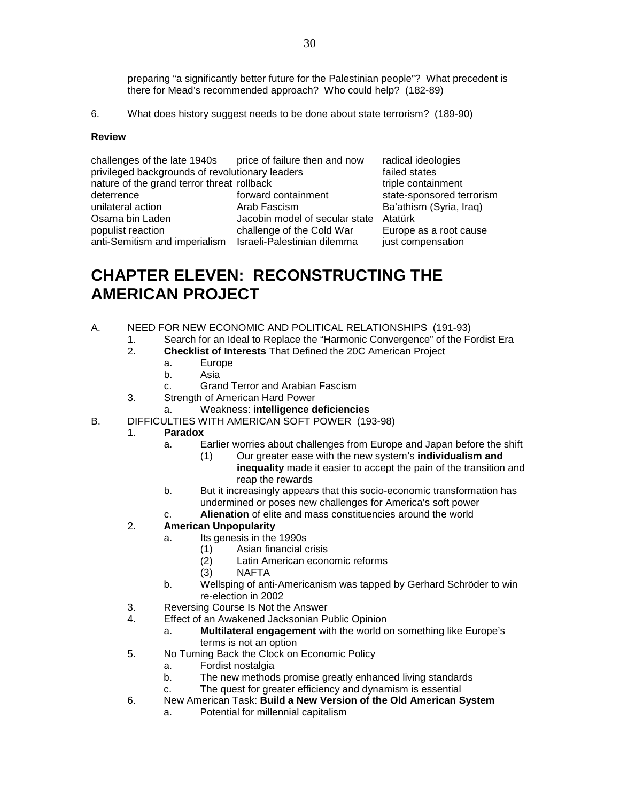preparing "a significantly better future for the Palestinian people"? What precedent is there for Mead's recommended approach? Who could help? (182-89)

6. What does history suggest needs to be done about state terrorism? (189-90)

#### **Review**

challenges of the late 1940s price of failure then and now radical ideologies privileged backgrounds of revolutionary leaders failed states failed states<br>
nature of the grand terror threat rollback<br>  $\frac{1}{2}$  final states friend the grand terror threat rollback nature of the grand terror threat rollback deterrence **forward containment** state-sponsored terrorism unilateral action **Arab Fascism** Ba'athism (Syria, Iraq)<br>Osama bin Laden **Bacabin model of secular state** Atatürk Jacobin model of secular state Atatürk populist reaction challenge of the Cold War Europe as a root cause anti-Semitism and imperialism Israeli-Palestinian dilemma just compensation

# **CHAPTER ELEVEN: RECONSTRUCTING THE AMERICAN PROJECT**

- A. NEED FOR NEW ECONOMIC AND POLITICAL RELATIONSHIPS (191-93)
	- 1. Search for an Ideal to Replace the "Harmonic Convergence" of the Fordist Era
	- 2. **Checklist of Interests** That Defined the 20C American Project
		- a. Europe
			- b. Asia
		- c. Grand Terror and Arabian Fascism
	- 3. Strength of American Hard Power
		- a. Weakness: **intelligence deficiencies**
- B. DIFFICULTIES WITH AMERICAN SOFT POWER (193-98)
	- 1. **Paradox**
		- a. Earlier worries about challenges from Europe and Japan before the shift
			- (1) Our greater ease with the new system's **individualism and inequality** made it easier to accept the pain of the transition and reap the rewards
		- b. But it increasingly appears that this socio-economic transformation has undermined or poses new challenges for America's soft power
		- c. **Alienation** of elite and mass constituencies around the world

### 2. **American Unpopularity**

- a. Its genesis in the 1990s
	-
	- (1) Asian financial crisis Latin American economic reforms
	- (3) NAFTA
- b. Wellsping of anti-Americanism was tapped by Gerhard Schröder to win re-election in 2002
- 3. Reversing Course Is Not the Answer
- 4. Effect of an Awakened Jacksonian Public Opinion
	- a. **Multilateral engagement** with the world on something like Europe's terms is not an option
- 5. No Turning Back the Clock on Economic Policy
	- a. Fordist nostalgia
	- b. The new methods promise greatly enhanced living standards
	- c. The quest for greater efficiency and dynamism is essential
- 6. New American Task: **Build a New Version of the Old American System**
	- a. Potential for millennial capitalism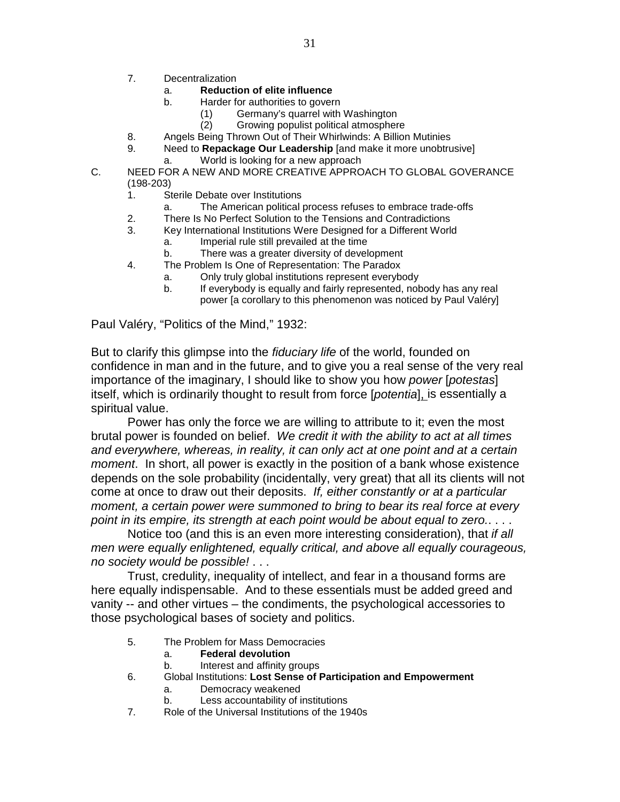- 7. Decentralization
	- a. **Reduction of elite influence**
	- b. Harder for authorities to govern
		- (1) Germany's quarrel with Washington
		- (2) Growing populist political atmosphere
- 8. Angels Being Thrown Out of Their Whirlwinds: A Billion Mutinies<br>9. Need to Repackage Our Leadership land make it more unobtru
	- Need to **Repackage Our Leadership** [and make it more unobtrusive]
		- a. World is looking for a new approach
- C. NEED FOR A NEW AND MORE CREATIVE APPROACH TO GLOBAL GOVERANCE (198-203)
	- 1. Sterile Debate over Institutions
		- a. The American political process refuses to embrace trade-offs
	- 2. There Is No Perfect Solution to the Tensions and Contradictions
	- 3. Key International Institutions Were Designed for a Different World
		- a. Imperial rule still prevailed at the time
		- b. There was a greater diversity of development
	- 4. The Problem Is One of Representation: The Paradox
		- a. Only truly global institutions represent everybody
			- b. If everybody is equally and fairly represented, nobody has any real power [a corollary to this phenomenon was noticed by Paul Valéry]

Paul Valéry, "Politics of the Mind," 1932:

But to clarify this glimpse into the *fiduciary life* of the world, founded on confidence in man and in the future, and to give you a real sense of the very real importance of the imaginary, I should like to show you how *power* [*potestas*] itself, which is ordinarily thought to result from force [*potentia*], is essentially a spiritual value.

Power has only the force we are willing to attribute to it; even the most brutal power is founded on belief. *We credit it with the ability to act at all times and everywhere, whereas, in reality, it can only act at one point and at a certain moment*. In short, all power is exactly in the position of a bank whose existence depends on the sole probability (incidentally, very great) that all its clients will not come at once to draw out their deposits. *If, either constantly or at a particular moment, a certain power were summoned to bring to bear its real force at every point in its empire, its strength at each point would be about equal to zero.*. . . .

Notice too (and this is an even more interesting consideration), that *if all men were equally enlightened, equally critical, and above all equally courageous, no society would be possible!* . . .

Trust, credulity, inequality of intellect, and fear in a thousand forms are here equally indispensable. And to these essentials must be added greed and vanity -- and other virtues – the condiments, the psychological accessories to those psychological bases of society and politics.

- 5. The Problem for Mass Democracies
	- a. **Federal devolution**
	- b. Interest and affinity groups
- 6. Global Institutions: **Lost Sense of Participation and Empowerment**
	- a. Democracy weakened
	- b. Less accountability of institutions
- 7. Role of the Universal Institutions of the 1940s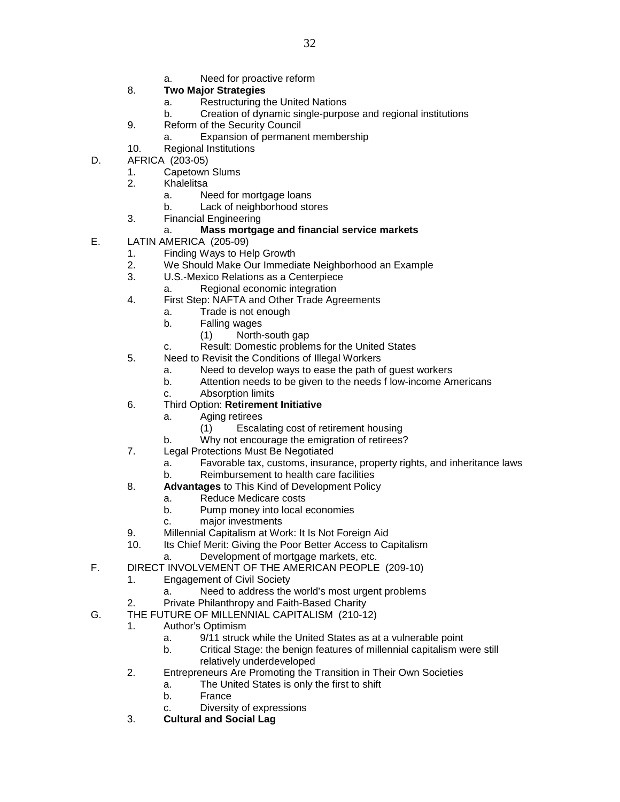- a. Need for proactive reform
- 8. **Two Major Strategies**
	- a. Restructuring the United Nations
	- b. Creation of dynamic single-purpose and regional institutions

32

- 9. Reform of the Security Council
	- Expansion of permanent membership
- 10. Regional Institutions
- D. AFRICA (203-05)
	- 1. Capetown Slums<br>2. Khalelitsa
	- **Khalelitsa** 
		- a. Need for mortgage loans
		- b. Lack of neighborhood stores
	- 3. Financial Engineering

# a. **Mass mortgage and financial service markets**

- E. LATIN AMERICA (205-09)
	- 1. Finding Ways to Help Growth
	- 2. We Should Make Our Immediate Neighborhood an Example
	- 3. U.S.-Mexico Relations as a Centerpiece
		- a. Regional economic integration
	- 4. First Step: NAFTA and Other Trade Agreements
		- a. Trade is not enough
		- b. Falling wages
			- (1) North-south gap
		- c. Result: Domestic problems for the United States
	- 5. Need to Revisit the Conditions of Illegal Workers
		- a. Need to develop ways to ease the path of guest workers
		- b. Attention needs to be given to the needs f low-income Americans
		- c. Absorption limits
	- 6. Third Option: **Retirement Initiative**
		- a. Aging retirees
			- (1) Escalating cost of retirement housing
		- b. Why not encourage the emigration of retirees?
	- 7. Legal Protections Must Be Negotiated
		- a. Favorable tax, customs, insurance, property rights, and inheritance laws
			- b. Reimbursement to health care facilities
	- 8. **Advantages** to This Kind of Development Policy
		- a. Reduce Medicare costs
		- b. Pump money into local economies
		- c. major investments
	- 9. Millennial Capitalism at Work: It Is Not Foreign Aid
	- 10. Its Chief Merit: Giving the Poor Better Access to Capitalism
		- a. Development of mortgage markets, etc.
- F. DIRECT INVOLVEMENT OF THE AMERICAN PEOPLE (209-10)
	- 1. Engagement of Civil Society
		- a. Need to address the world's most urgent problems
	- 2. Private Philanthropy and Faith-Based Charity
- G. THE FUTURE OF MILLENNIAL CAPITALISM (210-12)
	- 1. Author's Optimism
		- a. 9/11 struck while the United States as at a vulnerable point
		- b. Critical Stage: the benign features of millennial capitalism were still relatively underdeveloped
		- 2. Entrepreneurs Are Promoting the Transition in Their Own Societies
			- a. The United States is only the first to shift
			- b. France
			- c. Diversity of expressions
		- 3. **Cultural and Social Lag**